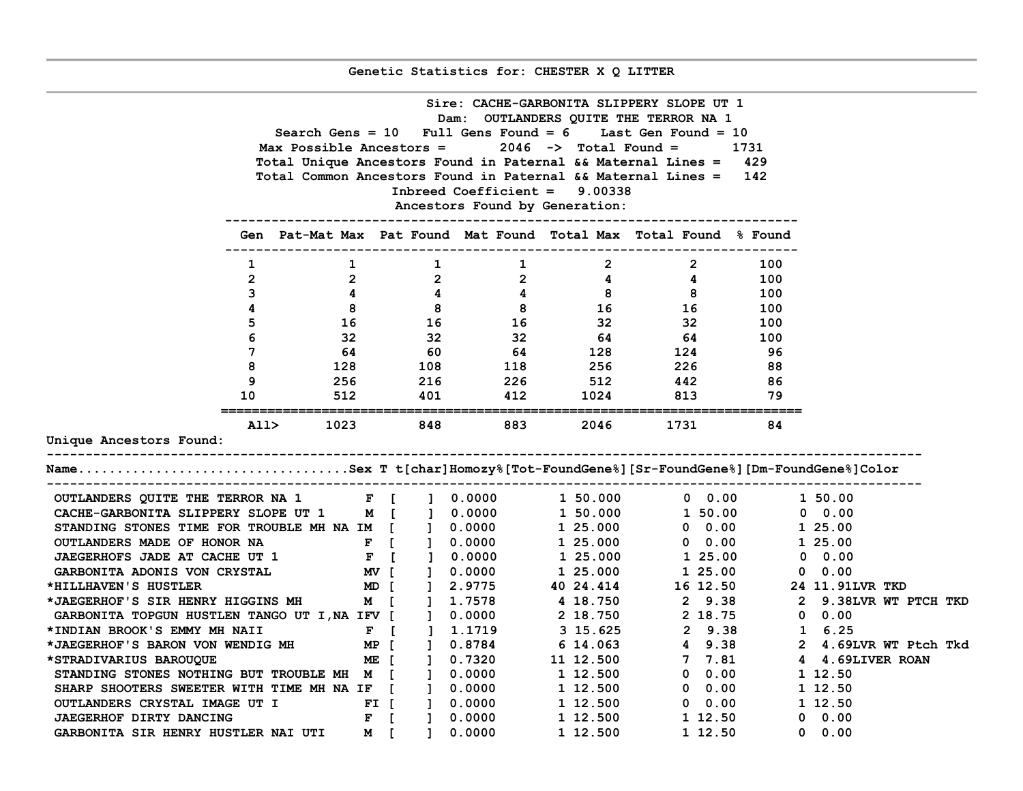**Genetic Statistics for: CHESTER X Q LITTER**

|                                                                             | Sire: CACHE-GARBONITA SLIPPERY SLOPE UT 1                                                                          |                         |                     |                                                                                    |             |                                                                   |               |                                                                              |  |  |  |  |  |  |  |
|-----------------------------------------------------------------------------|--------------------------------------------------------------------------------------------------------------------|-------------------------|---------------------|------------------------------------------------------------------------------------|-------------|-------------------------------------------------------------------|---------------|------------------------------------------------------------------------------|--|--|--|--|--|--|--|
| Dam: OUTLANDERS QUITE THE TERROR NA 1                                       |                                                                                                                    |                         |                     |                                                                                    |             |                                                                   |               |                                                                              |  |  |  |  |  |  |  |
|                                                                             | Search Gens = $10$ Full Gens Found = $6$ Last Gen Found = $10$<br>Max Possible Ancestors = $2046$ -> Total Found = |                         |                     |                                                                                    |             |                                                                   |               |                                                                              |  |  |  |  |  |  |  |
|                                                                             |                                                                                                                    |                         |                     |                                                                                    |             |                                                                   | 1731          |                                                                              |  |  |  |  |  |  |  |
|                                                                             |                                                                                                                    |                         |                     |                                                                                    |             | Total Unique Ancestors Found in Paternal && Maternal Lines = 429  |               |                                                                              |  |  |  |  |  |  |  |
|                                                                             |                                                                                                                    |                         |                     |                                                                                    |             | Total Common Ancestors Found in Paternal && Maternal Lines = 142  |               |                                                                              |  |  |  |  |  |  |  |
|                                                                             |                                                                                                                    |                         |                     | Inbreed Coefficient = 9.00338                                                      |             |                                                                   |               |                                                                              |  |  |  |  |  |  |  |
|                                                                             |                                                                                                                    |                         |                     | Ancestors Found by Generation:                                                     |             | ---------------------------                                       |               |                                                                              |  |  |  |  |  |  |  |
|                                                                             |                                                                                                                    |                         |                     |                                                                                    |             | Gen Pat-Mat Max Pat Found Mat Found Total Max Total Found % Found |               |                                                                              |  |  |  |  |  |  |  |
|                                                                             | 1                                                                                                                  | $\mathbf{1}$            | $\mathbf{1}$        | $\mathbf{1}$                                                                       | $2^{\circ}$ | $\overline{2}$                                                    | 100           |                                                                              |  |  |  |  |  |  |  |
|                                                                             | $\overline{2}$                                                                                                     | $\overline{\mathbf{2}}$ |                     |                                                                                    |             | $\overline{\mathbf{4}}$                                           | 100           |                                                                              |  |  |  |  |  |  |  |
|                                                                             | $\mathbf{3}$                                                                                                       | $\overline{4}$          |                     |                                                                                    |             | $\overline{\mathbf{8}}$                                           | 100           |                                                                              |  |  |  |  |  |  |  |
|                                                                             | 4                                                                                                                  | 8 <sup>1</sup>          |                     | $\begin{array}{cccc} 2 & & 2 & & 4 \\ 4 & & 4 & & 8 \\ 8 & & 8 & & 16 \end{array}$ |             | 16 —                                                              | 100           |                                                                              |  |  |  |  |  |  |  |
|                                                                             | 5                                                                                                                  |                         | 16 16               | 16 32                                                                              |             | 32                                                                | 100           |                                                                              |  |  |  |  |  |  |  |
|                                                                             | 6                                                                                                                  |                         |                     |                                                                                    |             | 64                                                                | 100           |                                                                              |  |  |  |  |  |  |  |
|                                                                             | $7\overline{ }$                                                                                                    | 64                      | $32$ $32$<br>60     | $\frac{32}{64}$                                                                    |             | $\frac{64}{124}$                                                  | - 96          |                                                                              |  |  |  |  |  |  |  |
|                                                                             | 8                                                                                                                  |                         |                     | 128 108 118                                                                        |             | 256 226                                                           | 88            |                                                                              |  |  |  |  |  |  |  |
|                                                                             | 9                                                                                                                  | 256 20                  | 216                 |                                                                                    |             | 226 512 442                                                       | 86            |                                                                              |  |  |  |  |  |  |  |
|                                                                             | 10                                                                                                                 |                         | 512 401             | 412                                                                                |             | 1024 813                                                          | 79            |                                                                              |  |  |  |  |  |  |  |
|                                                                             |                                                                                                                    |                         |                     |                                                                                    |             |                                                                   |               |                                                                              |  |  |  |  |  |  |  |
|                                                                             | A11> 1023 848                                                                                                      |                         |                     | 883 1980                                                                           | 2046        | 1731                                                              | 84            |                                                                              |  |  |  |  |  |  |  |
| Unique Ancestors Found:                                                     |                                                                                                                    |                         |                     |                                                                                    |             |                                                                   |               |                                                                              |  |  |  |  |  |  |  |
| NameSex T t[char]Homozy%[Tot-FoundGene%][Sr-FoundGene%][Dm-FoundGene%]Color |                                                                                                                    |                         |                     |                                                                                    |             |                                                                   |               |                                                                              |  |  |  |  |  |  |  |
|                                                                             |                                                                                                                    |                         |                     |                                                                                    |             |                                                                   |               |                                                                              |  |  |  |  |  |  |  |
| OUTLANDERS QUITE THE TERROR NA 1 F [ ] 0.0000                               |                                                                                                                    |                         |                     |                                                                                    | 1 50.000    | $0\quad 0.00$                                                     |               | 1 50.00                                                                      |  |  |  |  |  |  |  |
| CACHE-GARBONITA SLIPPERY SLOPE UT 1                                         |                                                                                                                    |                         | M [ ] 0.0000        |                                                                                    | 1 50.000    | 1 50.00                                                           |               | $0 \quad 0.00$                                                               |  |  |  |  |  |  |  |
| STANDING STONES TIME FOR TROUBLE MH NA IM [ ] 0.0000                        |                                                                                                                    |                         |                     |                                                                                    | 1 25.000    | $0\quad 0.00$                                                     |               | 1 25.00                                                                      |  |  |  |  |  |  |  |
| OUTLANDERS MADE OF HONOR NA                                                 |                                                                                                                    |                         | F [ ] 0.0000        |                                                                                    | 1 25.000    | $\begin{array}{ccc} 0 & 0.00 \ 1 & 25.00 \end{array}$             |               | 1 25.00                                                                      |  |  |  |  |  |  |  |
| <b>JAEGERHOFS JADE AT CACHE UT 1</b>                                        |                                                                                                                    |                         | F [ ] 0.0000        |                                                                                    | 1 25.000    |                                                                   |               | $0 \quad 0.00$                                                               |  |  |  |  |  |  |  |
| <b>GARBONITA ADONIS VON CRYSTAL</b>                                         |                                                                                                                    |                         | MV [ ] 0.0000       |                                                                                    | 1 25.000    | 1 25.00                                                           |               | $0\quad 0.00$                                                                |  |  |  |  |  |  |  |
| *HILLHAVEN'S HUSTLER                                                        |                                                                                                                    |                         | MD [ ] 2.9775       |                                                                                    |             | 40 24.414 16 12.50 24 11.91LVR TKD                                |               |                                                                              |  |  |  |  |  |  |  |
| *JAEGERHOF'S SIR HENRY HIGGINS MH                                           |                                                                                                                    |                         | M [ ] 1.7578        |                                                                                    | 4 18.750    | 2 9.38                                                            |               | 2 9.38LVR WT PTCH TKD                                                        |  |  |  |  |  |  |  |
| GARBONITA TOPGUN HUSTLEN TANGO UT I, NA IFV [ ] 0.0000                      |                                                                                                                    |                         |                     |                                                                                    |             | 2 18.750 2 18.75                                                  |               | $0\quad 0.00$                                                                |  |  |  |  |  |  |  |
| *INDIAN BROOK'S EMMY MH NAII                                                |                                                                                                                    |                         | $F$ [               | ] 1.1719                                                                           | 3 15.625    |                                                                   | 2 9.38 1 6.25 |                                                                              |  |  |  |  |  |  |  |
| *JAEGERHOF'S BARON VON WENDIG MH                                            |                                                                                                                    |                         | MP [ ] 0.8784       |                                                                                    | 6 14.063    |                                                                   |               | 4 9.38 2 4.69LVR WT Ptcl<br>7 7.81 4 4.69LIVER ROAN<br>2 4.69LVR WT Ptch Tkd |  |  |  |  |  |  |  |
| *STRADIVARIUS BAROUQUE                                                      |                                                                                                                    |                         | ME [ ] 0.7320       |                                                                                    | 11 12.500   |                                                                   |               |                                                                              |  |  |  |  |  |  |  |
| STANDING STONES NOTHING BUT TROUBLE MH M [                                  |                                                                                                                    |                         |                     | <b>1</b> 0.0000                                                                    |             | 1 12.500 0 0.00                                                   |               | 1 12.50                                                                      |  |  |  |  |  |  |  |
| SHARP SHOOTERS SWEETER WITH TIME MH NA IF [ ] 0.0000                        |                                                                                                                    |                         |                     |                                                                                    |             | $1\ 12.500$ 0 0.00<br>$1\ 12.500$ 0 0.00                          |               | 1 12.50                                                                      |  |  |  |  |  |  |  |
| OUTLANDERS CRYSTAL IMAGE UT I                                               |                                                                                                                    |                         | FI[ ] 0.0000        |                                                                                    |             |                                                                   |               | 1 12.50                                                                      |  |  |  |  |  |  |  |
| <b>JAEGERHOF DIRTY DANCING</b>                                              |                                                                                                                    |                         | $F \quad [ \quad ]$ | 0.0000                                                                             | 1 12.500    | 1 12.50                                                           |               | $0\quad 0.00$                                                                |  |  |  |  |  |  |  |
| GARBONITA SIR HENRY HUSTLER NAI UTI                                         |                                                                                                                    |                         | M I<br>$\mathbf{1}$ | 0.0000                                                                             | 1 12.500    | 1 12.50                                                           |               | $0 \quad 0.00$                                                               |  |  |  |  |  |  |  |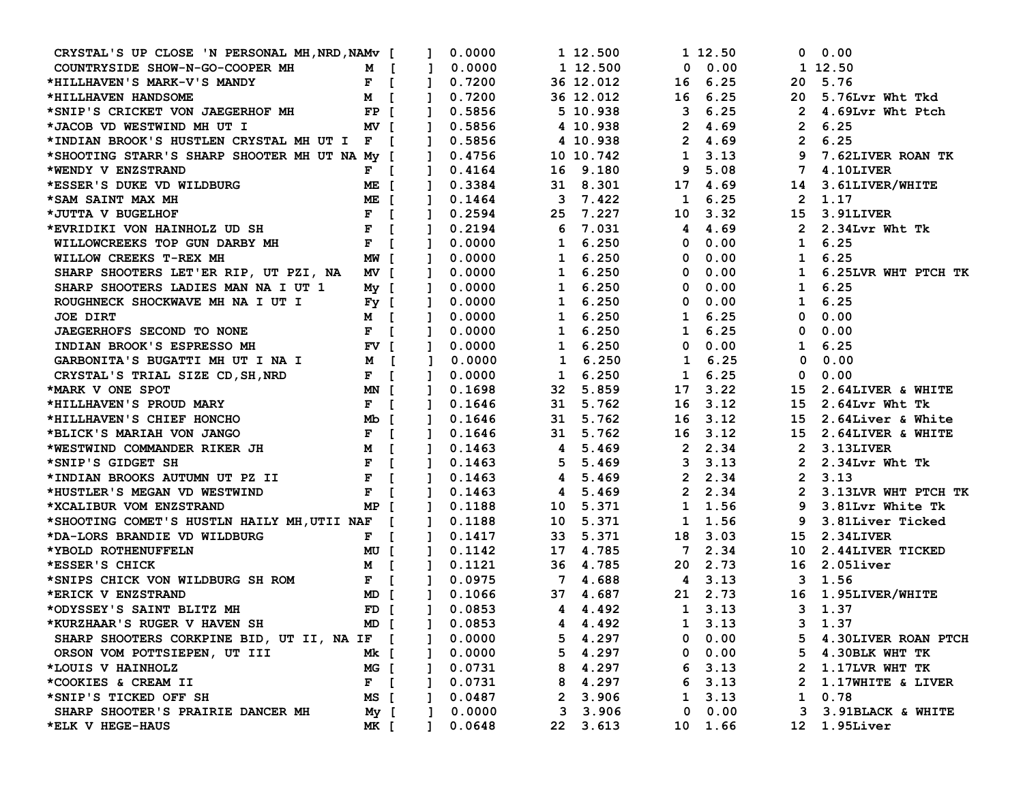| CRYSTAL'S UP CLOSE 'N PERSONAL MH, NRD, NAMV [ ]                                                                                                |             |                |              | 0.0000                                     |              | 1 12.500  |         | 1 12.50                                            |                            | 0 0.00                |
|-------------------------------------------------------------------------------------------------------------------------------------------------|-------------|----------------|--------------|--------------------------------------------|--------------|-----------|---------|----------------------------------------------------|----------------------------|-----------------------|
| COUNTRYSIDE SHOW-N-GO-COOPER MH M [                                                                                                             |             |                |              | $\begin{bmatrix} 1 & 0.0000 \end{bmatrix}$ |              | 1 12.500  |         | $0\quad 0.00$                                      |                            | 1 12.50               |
| *HILLHAVEN'S MARK-V'S MANDY                                                                                                                     | $F$ [       | $\blacksquare$ |              | 0.7200                                     |              | 36 12.012 |         | 16 6.25                                            |                            | 20 5.76               |
| *HILLHAVEN HANDSOME                                                                                                                             | <b>M</b> [  | $\blacksquare$ |              | 0.7200                                     |              | 36 12.012 | 16 6.25 |                                                    |                            | 20 5.76Lvr Wht Tkd    |
| $\mathbf{FP}$ [<br>*SNIP'S CRICKET VON JAEGERHOF MH                                                                                             |             | $\mathbf{1}$   |              | 0.5856                                     |              | 5 10.938  | 36.25   |                                                    | $\overline{\phantom{a}}$ 2 | 4.69Lvr Wht Ptch      |
| *JACOB VD WESTWIND MH UT I                                                                                                                      | NV [        | $\blacksquare$ |              | 0.5856                                     |              | 4 10.938  |         | 2, 4.69                                            |                            | 2, 6.25               |
| *INDIAN BROOK'S HUSTLEN CRYSTAL MH UT I F [                                                                                                     |             |                |              | ] 0.5856                                   |              | 4 10.938  |         | 2, 4.69                                            |                            | 2, 6.25               |
| *SHOOTING STARR'S SHARP SHOOTER MH UT NA My [                                                                                                   |             | $\blacksquare$ |              | 0.4756                                     |              | 10 10.742 |         | 1, 3.13                                            | 9                          | 7.62LIVER ROAN TK     |
| *WENDY V ENZSTRAND                                                                                                                              | $F \quad [$ |                |              | $1 \quad 0.4164$                           |              | 16 9.180  | 9       | 5.08                                               | 7                          | 4.10LIVER             |
| *ESSER'S DUKE VD WILDBURG                                                                                                                       | ME [        | $\mathbf{1}$   |              | 0.3384                                     |              | 31 8.301  |         | 17 4.69                                            |                            | 14 3.61LIVER/WHITE    |
| *SAM SAINT MAX MH                                                                                                                               | ME [        |                |              | $1 \quad 0.1464$                           |              | 3 7.422   |         | 1, 6.25                                            |                            | 2 1.17                |
|                                                                                                                                                 |             |                |              | ] 0.2594                                   |              | 25 7.227  |         | 10 3.32                                            |                            | 15 3.91LIVER          |
| *JUTTA V BUGELHOF<br>*EVRIDIKI VON HAINHOLZ UD SH<br>F [                                                                                        |             | $\mathbf{1}$   |              | 0.2194                                     |              | 67.031    |         | 4 4.69                                             |                            | 2 2.34Lvr Wht Tk      |
| $\mathbf{F}$ $\mathbf{F}$ $\mathbf{F}$<br>WILLOWCREEKS TOP GUN DARBY MH                                                                         |             | $\mathbf{1}$   |              | 0.0000                                     | $1 \t 6.250$ |           |         | $0\quad 0.00$                                      |                            | $1 \quad 6.25$        |
| WILLOW CREEKS T-REX MH                                                                                                                          | MW [        | $\mathbf{1}$   |              | 0.0000                                     |              | 1 6.250   |         | $0\quad 0.00$                                      |                            | $1 \quad 6.25$        |
| SHARP SHOOTERS LET'ER RIP, UT PZI, NA MV [                                                                                                      |             | $\blacksquare$ |              | 0.0000                                     |              | 1 6.250   |         | $0\quad 0.00$                                      |                            | 1 6.25LVR WHT PTCH TK |
| SHARP SHOOTERS LADIES MAN NA I UT 1 My [                                                                                                        |             | $\mathbf{1}$   |              | 0.0000                                     |              | 1 6.250   |         | 0.00<br>$\mathbf{0}$                               |                            | $1 \quad 6.25$        |
| ROUGHNECK SHOCKWAVE MH NA I UT I<br>$Fy$ [                                                                                                      |             | $\mathbf{1}$   |              | 0.0000                                     |              | 1 6.250   |         | $0\quad 0.00$                                      |                            | 1, 6.25               |
| <b>JOE DIRT</b>                                                                                                                                 | M [         | $\mathbf{1}$   |              | 0.0000                                     |              | 1 6.250   |         | 1, 6.25                                            |                            | $0 \quad 0.00$        |
| <b>JAEGERHOFS SECOND TO NONE</b>                                                                                                                | $F$ [       | $\mathbf{1}$   |              | 0.0000                                     |              | 1 6.250   |         | 1, 6.25                                            |                            | $0 \quad 0.00$        |
| INDIAN BROOK'S ESPRESSO MH                                                                                                                      | $FV$ [      | $\mathbf{1}$   |              | 0.0000                                     |              | 1 6.250   |         | $0\quad 0.00$                                      |                            | 1 6.25                |
| GARBONITA'S BUGATTI MH UT I NA I                                                                                                                | M [         | $\mathbf{1}$   |              | 0.0000                                     |              | 1 6.250   |         | $1 \t 6.25$                                        | $\mathbf{0}$               | 0.00                  |
| CRYSTAL'S TRIAL SIZE CD, SH, NRD                                                                                                                | $F$ [       | $\blacksquare$ |              | 0.0000                                     |              | 1 6.250   |         | 1, 6.25                                            | $\mathbf 0$                | 0.00                  |
| *MARK V ONE SPOT                                                                                                                                | MN [        | $\mathbf{1}$   |              | 0.1698                                     |              | 32 5.859  |         | 17 3.22                                            | 15                         | 2.64LIVER & WHITE     |
| *HILLHAVEN'S PROUD MARY                                                                                                                         | $F$ [       | $\mathbf{1}$   |              | 0.1646                                     |              | 31 5.762  |         | 16 3.12                                            |                            | 15 2.64Lvr Wht Tk     |
| *HILLHAVEN'S CHIEF HONCHO                                                                                                                       | Mub l       | $\mathbf{1}$   |              | 0.1646                                     |              | 31 5.762  | 16      | 3.12                                               | 15                         | 2.64Liver & White     |
| *BLICK'S MARIAH VON JANGO                                                                                                                       | $F$ [       | $\mathbf{1}$   |              | 0.1646                                     |              | 31 5.762  |         | 16 3.12                                            |                            | 15 2.64LIVER & WHITE  |
| *WESTWIND COMMANDER RIKER JH                                                                                                                    | <b>M</b> [  |                |              | $1 \quad 0.1463$                           |              | 4 5.469   |         | $2 \quad 2.34$                                     |                            | 2 3.13LIVER           |
| *SNIP'S GIDGET SH                                                                                                                               |             |                |              | ] 0.1463                                   |              | 5 5.469   |         | $3\quad 3.13$                                      |                            | 2 $2.34Lvr$ Wht Tk    |
| $\begin{array}{cc} \mathbf{F} & \mathbf{F} \\ \mathbf{F} & \mathbf{I} \\ \mathbf{m} & \mathbf{I} \end{array}$<br>*INDIAN BROOKS AUTUMN UT PZ II |             |                |              | ] 0.1463                                   |              | 4 5.469   |         | 2 2.34                                             |                            | 2, 3.13               |
| *HUSTLER'S MEGAN VD WESTWIND                                                                                                                    | $F$ [       | $\mathbf{1}$   |              | 0.1463                                     |              | 4 5.469   |         | $2 \t2.34$                                         |                            | 2 3.13LVR WHT PTCH TK |
| *XCALIBUR VOM ENZSTRAND                                                                                                                         | MP 「        |                |              | $1 \quad 0.1188$                           |              | 10 5.371  |         | 1 1.56                                             |                            | 9 3.81Lvr White Tk    |
| *SHOOTING COMET'S HUSTLN HAILY MH, UTII NAF [                                                                                                   |             |                |              | ] 0.1188                                   |              | 10 5.371  |         | 1 1.56                                             |                            | 9 3.81Liver Ticked    |
| *DA-LORS BRANDIE VD WILDBURG                                                                                                                    | $F \quad [$ |                |              | ] 0.1417                                   |              | 33 5.371  |         | 18 3.03                                            |                            | 15 2.34LIVER          |
| I DM D<br>*YBOLD ROTHENUFFELN                                                                                                                   |             |                |              | $1 \quad 0.1142$                           |              | 17 4.785  |         | 7 2.34                                             |                            | 10 2.44LIVER TICKED   |
| *ESSER'S CHICK                                                                                                                                  | M [         |                |              | ] 0.1121                                   |              | 36 4.785  |         | 20 2.73                                            |                            | 16 2.051iver          |
|                                                                                                                                                 | $F$ [       |                |              | ] 0.0975                                   |              | 74.688    |         | $\begin{array}{cc} 4 & 3.13 \\ 2 & 73 \end{array}$ |                            | 3 1.56                |
| *SNIPS CHICK VON WILDBURG SH ROM<br>*ERICK V ENZSTRAND                                                                                          | MD [        |                |              | ] 0.1066                                   |              | 37 4.687  |         |                                                    |                            | 16 1.95LIVER/WHITE    |
| *ODYSSEY'S SAINT BLITZ MH                                                                                                                       | $FD$ [      | $\mathbf{1}$   |              | 0.0853                                     |              | 4 4.492   |         | 1 3.13                                             |                            | 3, 1.37               |
| *KURZHAAR'S RUGER V HAVEN SH MD [ ] 0.0853                                                                                                      |             |                |              |                                            | 4 4.492      |           | 1 3.13  |                                                    |                            | 3 1.37                |
| SHARP SHOOTERS CORKPINE BID, UT II, NA IF [                                                                                                     |             | $\mathbf{I}$   |              | 0.0000                                     |              | 5 4.297   |         | $0\quad 0.00$                                      |                            | 5 4.30LIVER ROAN PTCH |
| ORSON VOM POTTSIEPEN, UT III                                                                                                                    | Mk [        |                |              | 0.0000                                     |              | 5 4.297   |         | $0\quad 0.00$                                      |                            | 5 4.30 BLK WHT TK     |
| *LOUIS V HAINHOLZ                                                                                                                               | MG [        |                |              | 0.0731                                     | 8            | 4.297     |         | $6\quad 3.13$                                      |                            | 2 1.17LVR WHT TK      |
| *COOKIES & CREAM II                                                                                                                             | $F$ [       |                |              | 0.0731                                     | 8            | 4.297     | 6       | 3.13                                               | 2                          | 1.17WHITE & LIVER     |
| *SNIP'S TICKED OFF SH                                                                                                                           | MS [        | $\mathbf{1}$   |              | 0.0487                                     | $\mathbf{2}$ | 3.906     |         | 1, 3.13                                            | $\mathbf{1}$               | 0.78                  |
| SHARP SHOOTER'S PRAIRIE DANCER MH                                                                                                               | My [        |                | $\mathbf{1}$ | 0.0000                                     |              | 3, 3.906  | 0       | 0.00                                               |                            | 3 3.91BLACK & WHITE   |
| *ELK V HEGE-HAUS                                                                                                                                | MK [        | $\mathbf{1}$   |              | 0.0648                                     |              | 22 3.613  |         | 10 1.66                                            |                            | 12 1.95Liver          |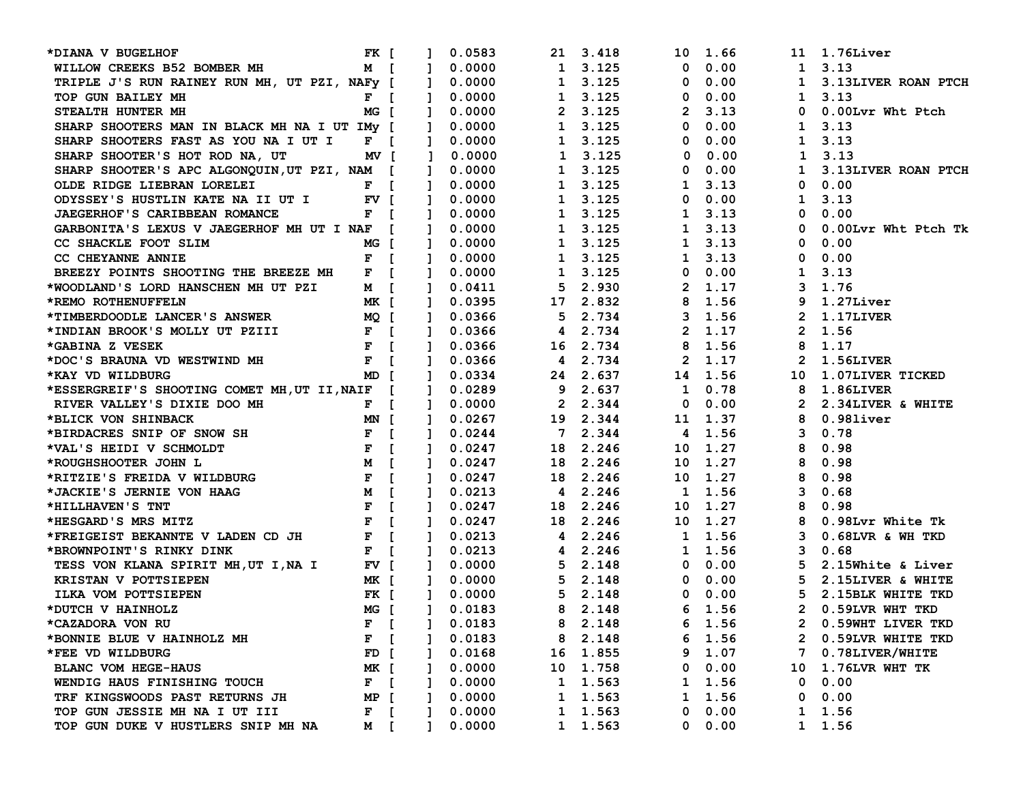| *DIANA V BUGELHOF                                                                                                      | FK [        |                | 0.0583       |              | 21 3.418        |               | 10 1.66        |              | 11 1.76Liver          |
|------------------------------------------------------------------------------------------------------------------------|-------------|----------------|--------------|--------------|-----------------|---------------|----------------|--------------|-----------------------|
| WILLOW CREEKS B52 BOMBER MH                                                                                            | <b>M</b> [  | $\mathbf{1}$   | 0.0000       |              | 1 3.125         | $\mathbf 0$   | 0.00           |              | 1, 3.13               |
| TRIPLE J'S RUN RAINEY RUN MH, UT PZI, NAFY [                                                                           |             | $\blacksquare$ | 0.0000       |              | 1 3.125         | 0             | 0.00           |              | 1 3.13LIVER ROAN PTCH |
| TOP GUN BAILEY MH                                                                                                      | $F$ [       | $\mathbf{1}$   | 0.0000       |              | 1 3.125         | 0             | 0.00           |              | 1, 3.13               |
| STEALTH HUNTER MH                                                                                                      | MG I        | $\mathbf{1}$   | 0.0000       |              | 2 3.125         | 2             | 3.13           | $\mathbf 0$  | 0.00Lvr Wht Ptch      |
| SHARP SHOOTERS MAN IN BLACK MH NA I UT IMV [                                                                           |             | $\mathbf{1}$   | 0.0000       |              | 1 3.125         | 0             | 0.00           |              | 1, 3.13               |
| SHARP SHOOTERS FAST AS YOU NA I UT I F [                                                                               |             | $\mathbf{1}$   | 0.0000       |              | 1 3.125         | 0             | 0.00           | $\mathbf{1}$ | 3.13                  |
| SHARP SHOOTER'S HOT ROD NA, UT<br>MV [                                                                                 |             | $\mathbf{1}$   | 0.0000       | $\mathbf{1}$ | 3.125           | 0             | 0.00           | $\mathbf{1}$ | 3.13                  |
| SHARP SHOOTER'S APC ALGONQUIN, UT PZI, NAM [                                                                           |             | $\mathbf{1}$   | 0.0000       |              | 1 3.125         | 0             | 0.00           |              | 1 3.13LIVER ROAN PTCH |
| OLDE RIDGE LIEBRAN LORELEI                                                                                             | $F$ [       |                | 0.0000       |              | 1 3.125         | $\mathbf{1}$  | 3.13           |              | $0 \quad 0.00$        |
| ODYSSEY'S HUSTLIN KATE NA II UT I FV [                                                                                 |             | $\mathbf{1}$   | 0.0000       |              | 1 3.125         | 0             | 0.00           | $\mathbf{1}$ | 3.13                  |
| JAEGERHOF'S CARIBBEAN ROMANCE                                                                                          | $F \quad$   | $\mathbf{1}$   | 0.0000       |              | 1 3.125         |               | $1 \quad 3.13$ | $\mathbf{0}$ | 0.00                  |
| GARBONITA'S LEXUS V JAEGERHOF MH UT I NAF [                                                                            |             | $\mathbf{1}$   | 0.0000       |              | 1 3.125         |               | 1, 3.13        | $\mathbf{0}$ | 0.00Lvr Wht Ptch Tk   |
| CC SHACKLE FOOT SLIM                                                                                                   | MG [        | $\mathbf{1}$   | 0.0000       |              | 1 3.125         |               | $1 \quad 3.13$ | $\mathbf 0$  | 0.00                  |
| CC CHEYANNE ANNIE                                                                                                      | $F$ [       | $\mathbf{1}$   | 0.0000       |              | 1 3.125         |               | 1, 3.13        | $\mathbf 0$  | 0.00                  |
| BREEZY POINTS SHOOTING THE BREEZE MH                                                                                   | $F$ [       | $\mathbf{1}$   | 0.0000       |              | 1 3.125         |               | $0\quad 0.00$  |              | 1, 3.13               |
| *WOODLAND'S LORD HANSCHEN MH UT PZI                                                                                    | $M$ [       | $\mathbf{1}$   | 0.0411       |              | 5 2.930         |               | 2 1.17         |              | 3 1.76                |
| MK [<br>MQ [<br>F [<br>F [<br>*REMO ROTHENUFFELN                                                                       |             | $\mathbf{1}$   | 0.0395       |              | 17 2.832        |               | 8 1.56         |              | 9 1.27Liver           |
| *TIMBERDOODLE LANCER'S ANSWER                                                                                          |             |                | 0.0366       |              | 5 2.734         |               | 3, 1.56        |              | 2 1.17LIVER           |
| *INDIAN BROOK'S MOLLY UT PZIII                                                                                         |             | $\mathbf{1}$   | 0.0366       |              | 4 2.734         |               | 2 1.17         |              | 2 1.56                |
| *GABINA Z VESEK                                                                                                        |             | $\mathbf{1}$   | 0.0366       |              | 16 2.734        |               | 8 1.56         |              | 8 1.17                |
| *DOC'S BRAUNA VD WESTWIND MH                                                                                           | $F$ [       | $\mathbf{1}$   | 0.0366       |              | 4 2.734         | $\mathbf{2}$  | 1.17           |              | 2 1.56LIVER           |
| *KAY VD WILDBURG                                                                                                       | MD I        | $\mathbf{1}$   | 0.0334       |              | 24 2.637        |               | 14 1.56        | 10           | 1.07LIVER TICKED      |
| *ESSERGREIF'S SHOOTING COMET MH, UT II, NAIF [                                                                         |             | $\mathbf{1}$   | 0.0289       |              | 9 2.637         |               | 1 0.78         | 8            | 1.86LIVER             |
| RIVER VALLEY'S DIXIE DOO MH<br>$\mathbf{F}$ is a set of $\mathbf{F}$ is a set of $\mathbf{F}$ is a set of $\mathbf{F}$ |             |                | 0.0000       |              | 2 2.344         | 0             | 0.00           | 2            | 2.34LIVER & WHITE     |
| MN [<br>*BLICK VON SHINBACK                                                                                            |             | $\mathbf{1}$   | 0.0267       |              | 19 2.344        |               | 11 1.37        | 8            | $0.98$ liver          |
|                                                                                                                        | $F \quad [$ |                | 0.0244       |              | 7 2.344         |               | 4 1.56         | 3            | 0.78                  |
| *BIRDACRES SNIP OF SNOW SH<br>*VAL'S HEIDI V SCHMOLDT<br>*ROUGHSHOOTER JOHN L                                          | $F$ [       |                | 0.0247       |              | 18 2.246        |               | 10 1.27        | 8            | 0.98                  |
|                                                                                                                        |             | $\mathbf{1}$   | 0.0247       |              | 18 2.246        |               | 10 1.27        |              | 8 0.98                |
|                                                                                                                        |             | $\mathbf{1}$   | 0.0247       |              | 18 2.246        |               | 10 1.27        | 8            | 0.98                  |
|                                                                                                                        |             | $\mathbf{1}$   | 0.0213       |              | 4 2.246         |               | 1 1.56         | 3            | 0.68                  |
| *HILLHAVEN'S TNT                                                                                                       | $F$ [       | $\mathbf{1}$   | 0.0247       |              | 18 2.246        |               | 10 1.27        | 8            | 0.98                  |
| *HESGARD'S MRS MITZ                                                                                                    | $F$ [       | $\mathbf{1}$   | 0.0247       |              | 18 2.246        |               | 10 1.27        | 8            | 0.98Lvr White Tk      |
| *FREIGEIST BEKANNTE V LADEN CD JH                                                                                      | $F$ [       | $\mathbf{1}$   | 0.0213       |              | 4 2.246         | 1 1.56        |                | $\mathbf{3}$ | 0.68LVR & WH TKD      |
| *BROWNPOINT'S RINKY DINK                                                                                               | $F$ [       | $\mathbf{1}$   | 0.0213       |              | 4 2.246         |               | 1 1.56         | 3            | 0.68                  |
| TESS VON KLANA SPIRIT MH, UT I, NA I                                                                                   | $FV$ [      | $\mathbf{1}$   | 0.0000       |              | 5 2.148         |               | $0\quad 0.00$  | 5.           | 2.15White & Liver     |
| KRISTAN V POTTSIEPEN                                                                                                   | MK [        | $\mathbf{1}$   | 0.0000       |              | 5 2.148         |               | $0\quad 0.00$  |              | 5 2.15LIVER & WHITE   |
| ILKA VOM POTTSIEPEN                                                                                                    | FK [        | $\mathbf{1}$   | 0.0000       |              | $5 \quad 2.148$ |               | $0\quad 0.00$  |              | 5 2.15BLK WHITE TKD   |
| *DUTCH V HAINHOLZ                                                                                                      | MG [        | $\mathbf{1}$   | 0.0183       |              | 8 2.148         |               | 6, 1.56        |              | 2 0.59LVR WHT TKD     |
| *CAZADORA VON RU                                                                                                       |             |                | F [ ] 0.0183 | 8 2.148      |                 | $6\quad 1.56$ |                |              | 2 0.59WHT LIVER TKD   |
| *BONNIE BLUE V HAINHOLZ MH                                                                                             | $F$ [       |                | 0.0183       |              | 8 2.148         |               | 6 1.56         |              | 2 0.59LVR WHITE TKD   |
| *FEE VD WILDBURG                                                                                                       | FD [        |                | 0.0168       |              | 16 1.855        |               | 9 1.07         |              | 7 0.78LIVER/WHITE     |
| <b>BLANC VOM HEGE-HAUS</b>                                                                                             | MK [        |                | 0.0000       |              | 10 1.758        | 0             | 0.00           |              | 10 1.76LVR WHT TK     |
| WENDIG HAUS FINISHING TOUCH                                                                                            | $F \quad [$ |                | 0.0000       |              | 1 1.563         | $\mathbf{1}$  | 1.56           |              | $0 \quad 0.00$        |
| TRF KINGSWOODS PAST RETURNS JH                                                                                         | MP [        |                | 0.0000       |              | 1 1.563         | $\mathbf{1}$  | 1.56           |              | $0 \quad 0.00$        |
| TOP GUN JESSIE MH NA I UT III                                                                                          | $F$ [       |                | 0.0000       |              | 1 1.563         |               | 0 0.00         |              | 1 1.56                |
| TOP GUN DUKE V HUSTLERS SNIP MH NA                                                                                     | <b>M</b> [  |                | 0.0000       |              | 1 1.563         |               | 0 0.00         |              | 1 1.56                |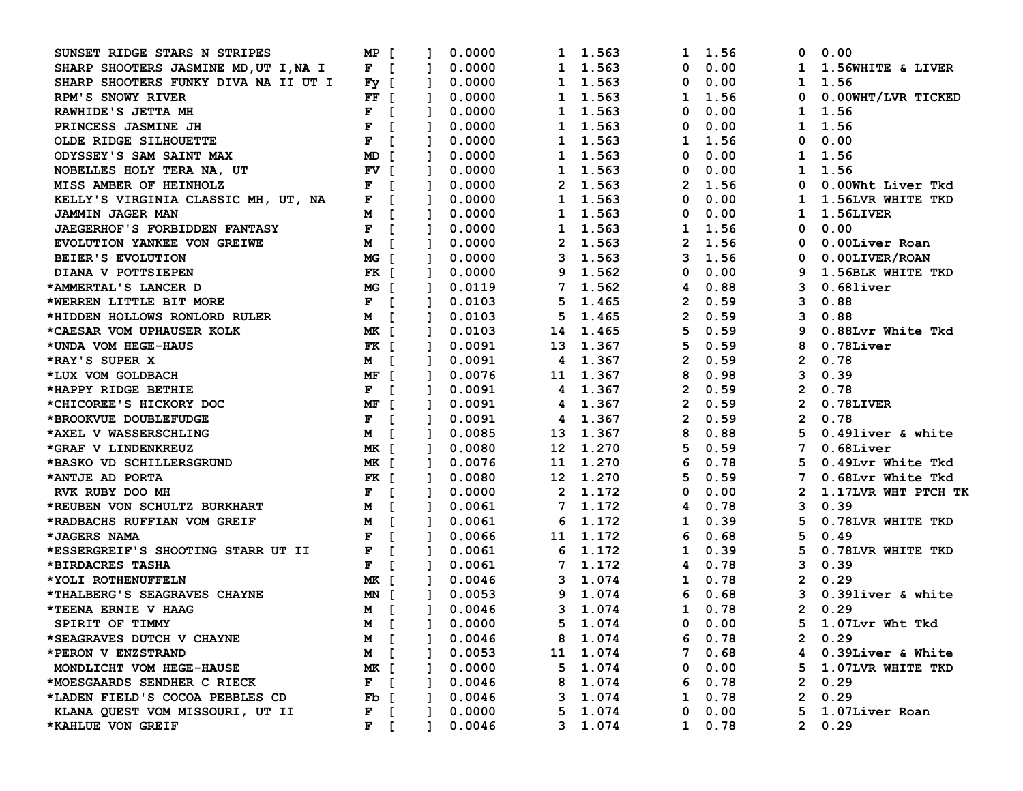| SUNSET RIDGE STARS N STRIPES          | MP [                |                | 0.0000           |        |              | 1 1.563  | 1              | 1.56          | 0            | 0.00                |
|---------------------------------------|---------------------|----------------|------------------|--------|--------------|----------|----------------|---------------|--------------|---------------------|
| SHARP SHOOTERS JASMINE MD, UT I, NA I | $F$ [               | $\mathbf{I}$   | 0.0000           |        |              | 1 1.563  | 0              | 0.00          | $\mathbf{1}$ | 1.56WHITE & LIVER   |
| SHARP SHOOTERS FUNKY DIVA NA II UT I  | $Fy$ [              | Ι.             | 0.0000           |        | $\mathbf{1}$ | 1.563    | 0              | 0.00          | $\mathbf{1}$ | 1.56                |
| RPM'S SNOWY RIVER                     | $FF$ [              | $\mathbf{1}$   | 0.0000           |        | $\mathbf{1}$ | 1.563    | 1              | 1.56          | 0            | 0.00WHT/LVR TICKED  |
| RAWHIDE'S JETTA MH                    | F<br>$\blacksquare$ |                | 0.0000           |        |              | 1 1.563  | 0              | 0.00          | 1            | 1.56                |
| PRINCESS JASMINE JH                   | F<br>$\blacksquare$ |                | 0.0000           |        |              | 1 1.563  | 0              | 0.00          | $\mathbf{1}$ | 1.56                |
| OLDE RIDGE SILHOUETTE                 | F<br>$\blacksquare$ |                | 0.0000           |        | 1            | 1.563    | 1              | 1.56          | 0            | 0.00                |
| ODYSSEY'S SAM SAINT MAX               | MD T                |                | 0.0000           |        | 1            | 1.563    | 0              | 0.00          | 1            | 1.56                |
| NOBELLES HOLY TERA NA, UT             | FV [                |                | 0.0000           |        |              | 1 1.563  | 0              | 0.00          | 1            | 1.56                |
| MISS AMBER OF HEINHOLZ                | F<br>$\blacksquare$ |                | 0.0000           |        |              | 2 1.563  | $\mathbf{2}$   | 1.56          | 0            | 0.00Wht Liver Tkd   |
| KELLY'S VIRGINIA CLASSIC MH, UT, NA   | $\blacksquare$<br>F | 1              | 0.0000           |        |              | 1 1.563  | 0              | 0.00          | 1            | 1.56LVR WHITE TKD   |
| JAMMIN JAGER MAN                      | M [                 | $\mathbf{1}$   | 0.0000           |        |              | 1 1.563  | 0              | 0.00          | 1            | 1.56LIVER           |
| <b>JAEGERHOF'S FORBIDDEN FANTASY</b>  | $F \quad [$         | $\mathbf{1}$   | 0.0000           |        |              | 1 1.563  | 1              | 1.56          | 0            | 0.00                |
| EVOLUTION YANKEE VON GREIWE           | M [                 |                | 0.0000           |        |              | 2 1.563  |                | 2, 1.56       | 0            | 0.00Liver Roan      |
| BEIER'S EVOLUTION                     | MG [                | -1             | 0.0000           |        |              | 3 1.563  | 3              | 1.56          | 0            | 0.00LIVER/ROAN      |
| DIANA V POTTSIEPEN                    | FK [                |                | 0.0000           |        |              | 9 1.562  | 0              | 0.00          | 9            | 1.56BLK WHITE TKD   |
| *AMMERTAL'S LANCER D                  | MG [                | Т.             | 0.0119           |        |              | 7 1.562  | 4              | 0.88          | 3            | $0.68$ liver        |
| *WERREN LITTLE BIT MORE               | $F \quad [$         |                | 0.0103           |        | 5.           | 1.465    | $\mathbf{2}$   | 0.59          | 3            | 0.88                |
| *HIDDEN HOLLOWS RONLORD RULER         | <b>M</b> [          |                | 0.0103           |        | 5            | 1.465    | $\overline{2}$ | 0.59          | 3            | 0.88                |
| *CAESAR VOM UPHAUSER KOLK             | MK [                | 1              | 0.0103           |        |              | 14 1.465 | 5              | 0.59          | 9            | 0.88Lvr White Tkd   |
| *UNDA VOM HEGE-HAUS                   | FK [                | $\mathbf{1}$   | 0.0091           |        | 13           | 1.367    | 5              | 0.59          | 8            | $0.78$ Liver        |
| *RAY'S SUPER X                        | M [                 | Ι.             | 0.0091           |        | 4            | 1.367    | 2              | 0.59          | $\mathbf{2}$ | 0.78                |
| *LUX VOM GOLDBACH                     | MF [                |                | 0.0076           |        |              | 11 1.367 | 8              | 0.98          | 3            | 0.39                |
| *HAPPY RIDGE BETHIE                   | F<br>$\blacksquare$ |                | 0.0091           |        |              | 4 1.367  | 2              | 0.59          | 2            | 0.78                |
| *CHICOREE'S HICKORY DOC               | MF [                |                | 0.0091           |        | 4            | 1.367    | 2              | 0.59          | 2            | 0.78LIVER           |
| *BROOKVUE DOUBLEFUDGE                 | F<br>$\blacksquare$ |                | 0.0091           |        | 4            | 1.367    | 2              | 0.59          | $\mathbf{2}$ | 0.78                |
| *AXEL V WASSERSCHLING                 | M [                 |                | 0.0085           |        | 13           | 1.367    | 8              | 0.88          | 5            | 0.49liver & white   |
| *GRAF V LINDENKREUZ                   | MK [                |                | 0.0080           |        |              | 12 1.270 | 5              | 0.59          | 7            | $0.68$ Liver        |
| *BASKO VD SCHILLERSGRUND              | MK [                | 1              | 0.0076           |        |              | 11 1.270 | 6              | 0.78          | 5.           | 0.49Lvr White Tkd   |
| *ANTJE AD PORTA                       | FK [                | Т.             |                  | 0.0080 |              | 12 1.270 | 5              | 0.59          | 7            | 0.68Lvr White Tkd   |
| RVK RUBY DOO MH                       | $F \quad [$         | Т.             | 0.0000           |        |              | 2 1.172  | 0              | 0.00          | $\mathbf{2}$ | 1.17LVR WHT PTCH TK |
| *REUBEN VON SCHULTZ BURKHART          | M [                 | Т.             | 0.0061           |        |              | 7 1.172  | 4              | 0.78          | 3            | 0.39                |
| *RADBACHS RUFFIAN VOM GREIF           | M [                 |                |                  | 0.0061 | 6            | 1.172    | 1              | 0.39          | 5            | 0.78LVR WHITE TKD   |
| *JAGERS NAMA                          | F<br>$\mathsf{r}$   |                | 0.0066           |        |              | 11 1.172 | 6              | 0.68          | 5            | 0.49                |
| *ESSERGREIF'S SHOOTING STARR UT II    | F<br>$\blacksquare$ | Ι.             | 0.0061           |        | 6            | 1.172    | 1              | 0.39          | 5            | 0.78LVR WHITE TKD   |
| *BIRDACRES TASHA                      | $\blacksquare$<br>F |                | 0.0061           |        |              | 7 1.172  | 4              | 0.78          | 3            | 0.39                |
| *YOLI ROTHENUFFELN                    | MK [                |                |                  | 0.0046 | 3            | 1.074    | 1              | 0.78          | $\mathbf{2}$ | 0.29                |
| *THALBERG'S SEAGRAVES CHAYNE          | MN [                | $\mathbf{1}$   | 0.0053           |        | 9            | 1.074    | 6              | 0.68          | 3            | 0.39liver & white   |
| *TEENA ERNIE V HAAG                   | <b>M</b> [          | $\mathbf{1}$   | 0.0046           |        | 3            | 1.074    | $\mathbf 1$    | 0.78          | $\mathbf{2}$ | 0.29                |
| SPIRIT OF TIMMY                       | <b>M</b> [          | $\blacksquare$ | 0.0000           |        |              | 5 1.074  |                | $0\quad 0.00$ |              | 5 1.07Lvr Wht Tkd   |
| *SEAGRAVES DUTCH V CHAYNE             | M [                 | $\mathbf{1}$   |                  | 0.0046 |              | 8 1.074  |                | 60.78         |              | 20.29               |
| *PERON V ENZSTRAND                    | <b>M</b> [          |                | $1 \quad 0.0053$ |        |              | 11 1.074 |                | 70.68         |              | 4 0.39Liver & White |
| MONDLICHT VOM HEGE-HAUSE              | MK [                |                |                  | 0.0000 |              | 5 1.074  |                | $0\quad 0.00$ |              | 5 1.07LVR WHITE TKD |
| *MOESGAARDS SENDHER C RIECK           | $F \quad [$         |                |                  | 0.0046 |              | 8 1.074  |                | 60.78         |              | 20.29               |
| *LADEN FIELD'S COCOA PEBBLES CD       | Fb [                |                | $1 \quad 0.0046$ |        |              | 3 1.074  |                | $1 \t 0.78$   |              | 20.29               |
| KLANA QUEST VOM MISSOURI, UT II       | $F$ [               |                |                  | 0.0000 |              | 5 1.074  |                | $0\quad 0.00$ |              | 5 1.07Liver Roan    |
| *KAHLUE VON GREIF                     | $F$ [               |                |                  | 0.0046 |              | 3 1.074  |                | $1 \t 0.78$   |              | 20.29               |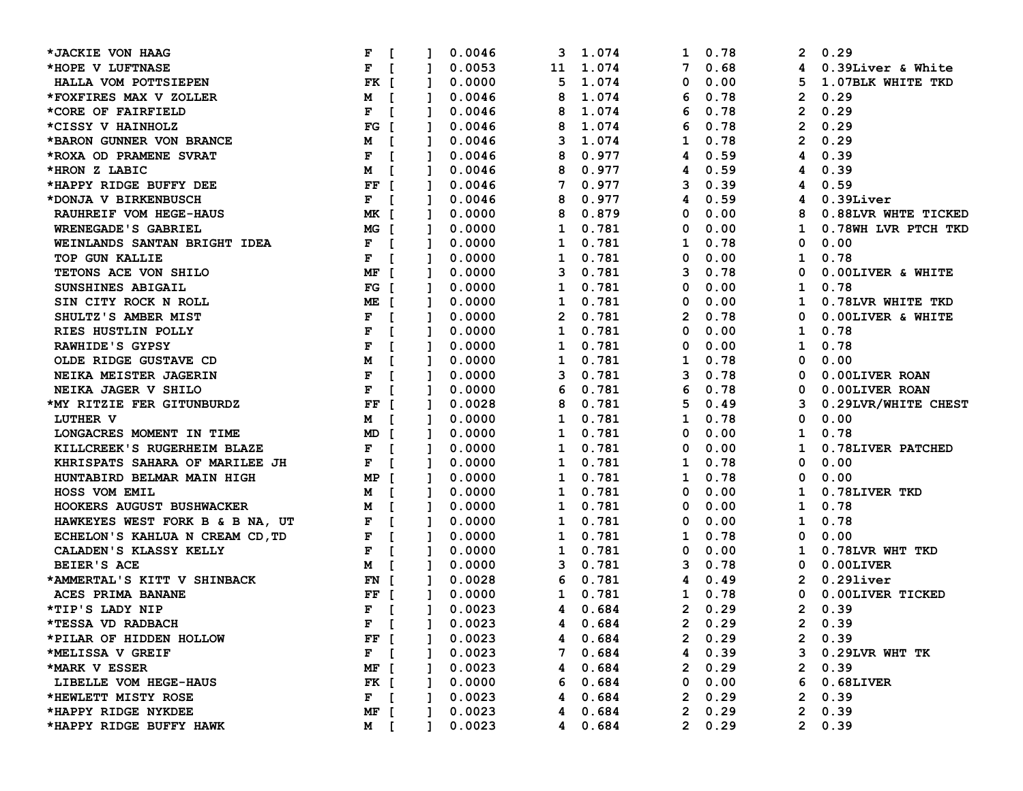| *JACKIE VON HAAG                | F                   |                              | 0.0046       | 3            | 1.074   | 1              | 0.78        | $\mathbf{2}^{\prime}$ | 0.29                |
|---------------------------------|---------------------|------------------------------|--------------|--------------|---------|----------------|-------------|-----------------------|---------------------|
| *HOPE V LUFTNASE                | F<br>$\Gamma$       | $\mathbf{1}$                 | 0.0053       | 11           | 1.074   | 7              | 0.68        |                       | 4 0.39Liver & White |
| HALLA VOM POTTSIEPEN            | FK [                | $\mathbf{1}$                 | 0.0000       | 5            | 1.074   | 0              | 0.00        | 5                     | 1.07BLK WHITE TKD   |
| *FOXFIRES MAX V ZOLLER          | M [                 | $\mathbf{1}$                 | 0.0046       | 8            | 1.074   | 6              | 0.78        | $\mathbf{2}$          | 0.29                |
| *CORE OF FAIRFIELD              | F<br>$\blacksquare$ | Т.                           | 0.0046       | 8            | 1.074   | 6              | 0.78        | $\mathbf{2}$          | 0.29                |
| *CISSY V HAINHOLZ               | FG I                |                              | 0.0046       | 8            | 1.074   | 6              | 0.78        | $\mathbf{2}$          | 0.29                |
| *BARON GUNNER VON BRANCE        | M                   |                              | 0.0046       | з            | 1.074   | 1              | 0.78        | 2                     | 0.29                |
| *ROXA OD PRAMENE SVRAT          | F                   |                              | 0.0046       | 8            | 0.977   | 4              | 0.59        | 4                     | 0.39                |
| *HRON Z LABIC                   | M                   |                              | 0.0046       | 8            | 0.977   | 4              | 0.59        | 4                     | 0.39                |
| *HAPPY RIDGE BUFFY DEE          | $FF$ [              | $\mathbf{I}$                 | 0.0046       | 7            | 0.977   | 3              | 0.39        | 4                     | 0.59                |
| *DONJA V BIRKENBUSCH            | F<br>$\overline{1}$ | $\mathbf{1}$                 | 0.0046       | 8            | 0.977   | 4              | 0.59        | 4                     | $0.39$ Liver        |
| RAUHREIF VOM HEGE-HAUS          | MK [                | $\mathbf{1}$                 | 0.0000       | 8            | 0.879   | 0              | 0.00        | 8                     | 0.88LVR WHTE TICKED |
| WRENEGADE'S GABRIEL             | MG [                | $\mathbf{1}$                 | 0.0000       | 1            | 0.781   | 0              | 0.00        | $\mathbf{1}$          | 0.78WH LVR PTCH TKD |
| WEINLANDS SANTAN BRIGHT IDEA    | $F$ [               | Ι.                           | 0.0000       | 1            | 0.781   | 1              | 0.78        | $\mathbf 0$           | 0.00                |
| TOP GUN KALLIE                  | F<br>$\blacksquare$ |                              | 0.0000       | 1            | 0.781   | 0              | 0.00        | $\mathbf{1}$          | 0.78                |
| TETONS ACE VON SHILO            | MF [                |                              | 0.0000       | 3            | 0.781   | 3              | 0.78        | 0                     | 0.00LIVER & WHITE   |
| SUNSHINES ABIGAIL               | FG I                | $\mathbf{1}$                 | 0.0000       | 1            | 0.781   | 0              | 0.00        | $\mathbf{1}$          | 0.78                |
| SIN CITY ROCK N ROLL            | ME I                | $\mathbf{1}$                 | 0.0000       | 1            | 0.781   | 0              | 0.00        | 1                     | 0.78LVR WHITE TKD   |
| SHULTZ'S AMBER MIST             | F<br>$\blacksquare$ | $\mathbf{I}$                 | 0.0000       | $\mathbf{2}$ | 0.781   | $\mathbf{2}$   | 0.78        | 0                     | 0.00LIVER & WHITE   |
| RIES HUSTLIN POLLY              | F                   | $\Gamma$<br>$\mathbf{1}$     | 0.0000       | 1            | 0.781   | 0              | 0.00        | $\mathbf{1}$          | 0.78                |
| RAWHIDE'S GYPSY                 | F                   | $\Gamma$<br>$\mathbf{1}$     | 0.0000       | 1            | 0.781   | 0              | 0.00        | $\mathbf{1}$          | 0.78                |
| OLDE RIDGE GUSTAVE CD           | М                   | $\mathbf{1}$                 | 0.0000       | 1            | 0.781   | 1              | 0.78        | 0                     | 0.00                |
| NEIKA MEISTER JAGERIN           | F                   |                              | 0.0000       | 3            | 0.781   | 3              | 0.78        | 0                     | 0.00LIVER ROAN      |
| NEIKA JAGER V SHILO             | F                   |                              | 0.0000       | 6            | 0.781   | 6              | 0.78        | 0                     | 0.00LIVER ROAN      |
| *MY RITZIE FER GITUNBURDZ       | FF<br>$\mathsf{L}$  |                              | 0.0028       | 8            | 0.781   | 5              | 0.49        | 3                     | 0.29LVR/WHITE CHEST |
| LUTHER V                        | M I                 | $\mathbf{1}$                 | 0.0000       | 1            | 0.781   | 1              | 0.78        | 0                     | 0.00                |
| LONGACRES MOMENT IN TIME        | MD I                |                              | 0.0000       | 1            | 0.781   | 0              | 0.00        | 1                     | 0.78                |
| KILLCREEK'S RUGERHEIM BLAZE     | F<br>$\blacksquare$ |                              | 0.0000       | 1            | 0.781   | 0              | 0.00        | $\mathbf{1}$          | 0.78LIVER PATCHED   |
| KHRISPATS SAHARA OF MARILEE JH  | F<br>$\mathbf{I}$   | $\mathbf{1}$                 | 0.0000       | 1            | 0.781   | 1              | 0.78        | 0                     | 0.00                |
| HUNTABIRD BELMAR MAIN HIGH      | MP<br>- E           | $\mathbf{1}$                 | 0.0000       | 1            | 0.781   | 1              | 0.78        | 0                     | 0.00                |
| HOSS VOM EMIL                   | M                   | $\Gamma$<br>$\mathbf{1}$     | 0.0000       | 1            | 0.781   | 0              | 0.00        | $\mathbf{1}$          | 0.78LIVER TKD       |
| HOOKERS AUGUST BUSHWACKER       | М                   | Т.                           | 0.0000       | 1            | 0.781   | 0              | 0.00        | $\mathbf{1}$          | 0.78                |
| HAWKEYES WEST FORK B & B NA, UT | F                   |                              | 0.0000       | 1            | 0.781   | 0              | 0.00        | $\mathbf{1}$          | 0.78                |
| ECHELON'S KAHLUA N CREAM CD, TD | F                   |                              | 0.0000       | 1            | 0.781   | 1              | 0.78        | 0                     | 0.00                |
| CALADEN'S KLASSY KELLY          | F                   | $\mathbf{r}$<br>$\mathbf{1}$ | 0.0000       | 1            | 0.781   | 0              | 0.00        | $\mathbf{I}$          | 0.78LVR WHT TKD     |
| BEIER'S ACE                     | M I                 | $\mathbf{1}$                 | 0.0000       | 3            | 0.781   | 3              | 0.78        | $\mathbf 0$           | 0.00LIVER           |
| *AMMERTAL'S KITT V SHINBACK     | FN [                | $\mathbf{1}$                 | 0.0028       | 6            | 0.781   | 4              | 0.49        | 2                     | $0.29$ liver        |
| ACES PRIMA BANANE               | FF [                | $\mathbf{1}$                 | 0.0000       | $\mathbf{1}$ | 0.781   | $\mathbf{1}$   | 0.78        | $\mathbf 0$           | 0.00LIVER TICKED    |
| *TIP'S LADY NIP                 | F<br>$\blacksquare$ | $\mathbf{1}$                 | 0.0023       | 4            | 0.684   | $\overline{2}$ | 0.29        | $\mathbf{2}$          | 0.39                |
| *TESSA VD RADBACH               |                     |                              | F [ ] 0.0023 |              | 4 0.684 |                | 20.29       | $\mathbf{2}$          | 0.39                |
| *PILAR OF HIDDEN HOLLOW         | FF [                |                              | 0.0023       |              | 4 0.684 |                | $2 \t 0.29$ |                       | 2 0.39              |
| *MELISSA V GREIF                | $F$ [               |                              | 0.0023       |              | 7 0.684 |                | 4 0.39      |                       | 3 0.29LVR WHT TK    |
| *MARK V ESSER                   | MF [                |                              | 0.0023       | 4            | 0.684   |                | $2 \t 0.29$ |                       | 20.39               |
| LIBELLE VOM HEGE-HAUS           | FK [                |                              | 0.0000       | 6            | 0.684   |                | 0 0.00      |                       | 6 0.68LIVER         |
| *HEWLETT MISTY ROSE             | $F \quad \Gamma$    |                              | 0.0023       |              | 4 0.684 |                | 20.29       |                       | 20.39               |
| *HAPPY RIDGE NYKDEE             | MF [                |                              | 0.0023       | 4            | 0.684   |                | 20.29       |                       | 20.39               |
| *HAPPY RIDGE BUFFY HAWK         | M [                 |                              | 0.0023       | 4            | 0.684   |                | 20.29       |                       | 20.39               |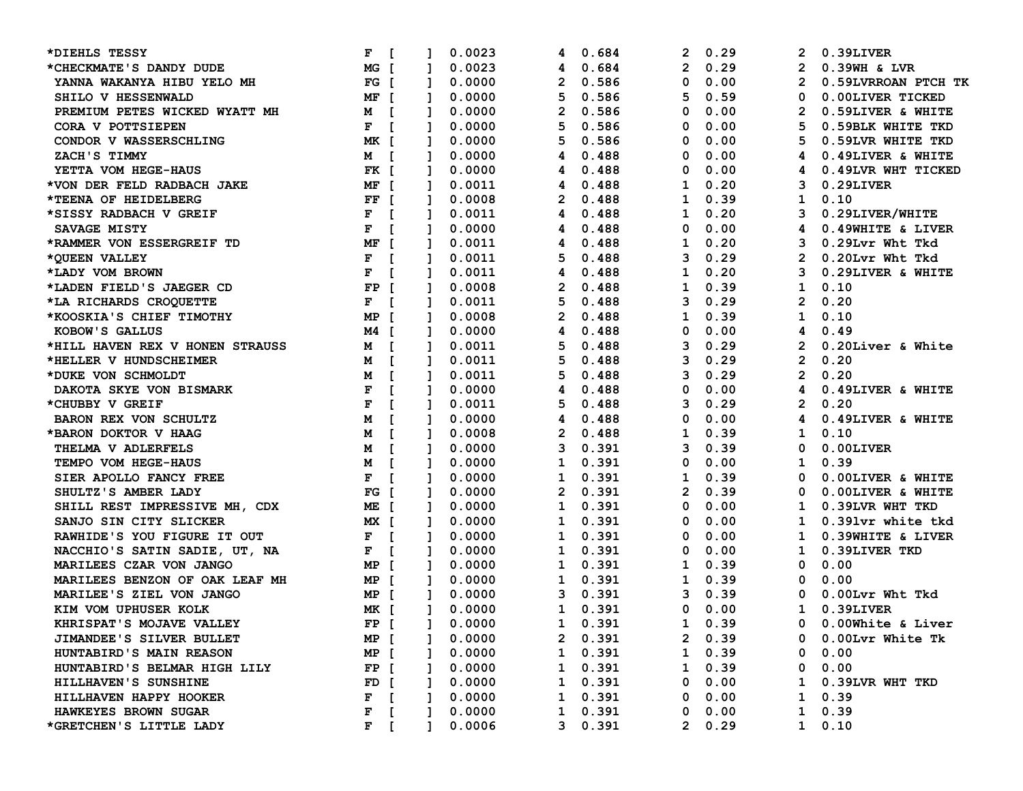| *DIEHLS TESSY                   | F                   |              |              | 0.0023           | 4            | 0.684        | 2            | 0.29          | 2              | 0.39LIVER           |
|---------------------------------|---------------------|--------------|--------------|------------------|--------------|--------------|--------------|---------------|----------------|---------------------|
| *CHECKMATE'S DANDY DUDE         | MG 「                |              | $\mathbf{1}$ | 0.0023           | 4            | 0.684        | $\mathbf{2}$ | 0.29          | $\mathbf{2}$   | $0.39$ WH & LVR     |
| YANNA WAKANYA HIBU YELO MH      | $FG$ [              |              | $\mathbf{1}$ | 0.0000           | 2            | 0.586        | 0            | 0.00          | $\mathbf{2}$   | 0.59LVRROAN PTCH TK |
| SHILO V HESSENWALD              | MF I                |              | $\mathbf{1}$ | 0.0000           | 5            | 0.586        | 5            | 0.59          | 0              | 0.00LIVER TICKED    |
| PREMIUM PETES WICKED WYATT MH   | M I                 |              | Ι.           | 0.0000           | 2            | 0.586        | 0            | 0.00          | 2              | 0.59LIVER & WHITE   |
| CORA V POTTSIEPEN               | F                   |              | -1           | 0.0000           | 5            | 0.586        | 0            | 0.00          | 5              | 0.59BLK WHITE TKD   |
| CONDOR V WASSERSCHLING          | MK 「                |              |              | 0.0000           | 5            | 0.586        | 0            | 0.00          |                | 0.59LVR WHITE TKD   |
| ZACH'S TIMMY                    | M [                 |              |              | 0.0000           | 4            | 0.488        | 0            | 0.00          |                | 0.49LIVER & WHITE   |
| YETTA VOM HEGE-HAUS             | FK I                |              | I.           | 0.0000           | 4            | 0.488        | 0            | 0.00          | 4              | 0.49LVR WHT TICKED  |
| *VON DER FELD RADBACH JAKE      | MF [                |              |              | 0.0011           | 4            | 0.488        | 1            | 0.20          | 3              | $0.29$ LIVER        |
| *TEENA OF HEIDELBERG            | FF [                |              | $\mathbf{1}$ | 0.0008           | 2            | 0.488        | 1            | 0.39          | $\mathbf{1}$   | 0.10                |
| *SISSY RADBACH V GREIF          | F                   | $\Gamma$     | $\mathbf{1}$ | 0.0011           | 4            | 0.488        | 1            | 0.20          | 3              | 0.29LIVER/WHITE     |
| SAVAGE MISTY                    | F                   | $\mathbf{r}$ | $\mathbf{1}$ | 0.0000           | 4            | 0.488        | 0            | 0.00          | 4              | 0.49WHITE & LIVER   |
| *RAMMER VON ESSERGREIF TD       | MF                  | $\mathsf{r}$ | Ι.           | 0.0011           | 4            | 0.488        | 1            | 0.20          | 3              | 0.29Lvr Wht Tkd     |
| *OUEEN VALLEY                   | F                   |              | 1            | 0.0011           | 5            | 0.488        | 3            | 0.29          | 2              | 0.20Lvr Wht Tkd     |
| *LADY VOM BROWN                 | F                   |              |              | 0.0011           | 4            | 0.488        | 1            | 0.20          | 3              | 0.29LIVER & WHITE   |
| *LADEN FIELD'S JAEGER CD        | $\mathbf{FP}$       | - 1          | Т.           | 0.0008           | 2            | 0.488        | 1            | 0.39          | $\mathbf{1}$   | 0.10                |
| *LA RICHARDS CROQUETTE          | F<br>$\overline{1}$ |              | Т.           | 0.0011           | 5            | 0.488        | 3            | 0.29          | $\mathbf{2}$   | 0.20                |
| *KOOSKIA'S CHIEF TIMOTHY        | MP                  | - 1          |              | 0.0008           | $\mathbf{2}$ | 0.488        | 1            | 0.39          | $\mathbf{1}$   | 0.10                |
| KOBOW'S GALLUS                  | M4 I                |              | $\mathbf{1}$ | 0.0000           | 4            | 0.488        | 0            | 0.00          | 4              | 0.49                |
| *HILL HAVEN REX V HONEN STRAUSS | M                   | $\Gamma$     | $\mathbf{1}$ | 0.0011           | 5            | 0.488        | 3            | 0.29          | $\mathbf{2}$   | 0.20Liver & White   |
| *HELLER V HUNDSCHEIMER          | м                   |              | Т.           | 0.0011           | 5            | 0.488        | 3            | 0.29          | $\overline{2}$ | 0.20                |
| *DUKE VON SCHMOLDT              | М                   |              | -1           | 0.0011           | 5            | 0.488        | 3            | 0.29          | $\overline{2}$ | 0.20                |
| DAKOTA SKYE VON BISMARK         | F                   |              |              | 0.0000           | 4            | 0.488        | 0            | 0.00          | 4              | 0.49LIVER & WHITE   |
| *CHUBBY V GREIF                 | $\mathbf F$         |              |              | 0.0011           | 5            | 0.488        | 3            | 0.29          | $\mathbf{2}$   | 0.20                |
| <b>BARON REX VON SCHULTZ</b>    | M                   |              | Т.           | 0.0000           | 4            | 0.488        | 0            | 0.00          | 4              | 0.49LIVER & WHITE   |
| *BARON DOKTOR V HAAG            | М                   |              |              | 0.0008           | 2            | 0.488        | 1            | 0.39          | 1              | 0.10                |
| THELMA V ADLERFELS              | M                   |              |              | 0.0000           | 3            | 0.391        | 3            | 0.39          | 0              | 0.00LIVER           |
| TEMPO VOM HEGE-HAUS             | м                   | $\mathbf{r}$ | $\mathbf{1}$ | 0.0000           | 1            | 0.391        | 0            | 0.00          | $\mathbf{1}$   | 0.39                |
| SIER APOLLO FANCY FREE          | F                   | $\mathsf{L}$ | $\mathbf{1}$ | 0.0000           | 1            | 0.391        | 1            | 0.39          | 0              | 0.00LIVER & WHITE   |
| SHULTZ'S AMBER LADY             | $FG$ $\Gamma$       |              | $\mathbf{1}$ | 0.0000           | 2            | 0.391        | 2            | 0.39          | 0              | 0.00LIVER & WHITE   |
| SHILL REST IMPRESSIVE MH, CDX   | ME [                |              | Ι.           | 0.0000           | 1            | 0.391        | 0            | 0.00          | 1              | 0.39LVR WHT TKD     |
| SANJO SIN CITY SLICKER          | MX 「                |              | Ι.           | 0.0000           | 1            | 0.391        | 0            | 0.00          | 1              | 0.391vr white tkd   |
| RAWHIDE'S YOU FIGURE IT OUT     | F<br>$\blacksquare$ |              | Ι.           | 0.0000           | 1            | 0.391        | 0            | 0.00          | ı              | 0.39WHITE & LIVER   |
| NACCHIO'S SATIN SADIE, UT, NA   | $F \quad [$         |              | 1            | 0.0000           | 1            | 0.391        | 0            | 0.00          | 1              | 0.39LIVER TKD       |
| MARILEES CZAR VON JANGO         | MP I                |              | Ι.           | 0.0000           | 1            | 0.391        | 1            | 0.39          | 0              | 0.00                |
| MARILEES BENZON OF OAK LEAF MH  | MP [                |              | 1            | 0.0000           | 1            | 0.391        | 1            | 0.39          | 0              | 0.00                |
| MARILEE'S ZIEL VON JANGO        | MP [                |              | $\mathbf{1}$ | 0.0000           | 3            | 0.391        | 3            | 0.39          | 0              | 0.00Lvr Wht Tkd     |
| KIM VOM UPHUSER KOLK            | MK [                |              | $\mathbf{1}$ | 0.0000           | $\mathbf{1}$ | 0.391        | 0            | 0.00          | $\mathbf{1}$   | 0.39LIVER           |
| KHRISPAT'S MOJAVE VALLEY        |                     |              |              | FP [ ] 0.0000    |              | 1 0.391      |              | 1 0.39        | $\Omega$       | 0.00White & Liver   |
| <b>JIMANDEE'S SILVER BULLET</b> | MP [                |              | $\mathbf{1}$ | 0.0000           |              | 2 0.391      |              | $2 \t 0.39$   |                | 0 0.00Lvr White Tk  |
| HUNTABIRD'S MAIN REASON         | MP [                |              |              | 0.0000           |              | 1 0.391      |              | $1 \t0.39$    |                | $0 \quad 0.00$      |
| HUNTABIRD'S BELMAR HIGH LILY    | FP [                |              |              | 0.0000           |              | 1 0.391      |              | $1 \t0.39$    |                | 0 0.00              |
| HILLHAVEN'S SUNSHINE            | $FD$ [              |              |              | 0.0000           |              | 1 0.391      |              | 0 0.00        |                | 1 0.39LVR WHT TKD   |
| HILLHAVEN HAPPY HOOKER          | $F \quad \Gamma$    |              |              | $1 \quad 0.0000$ |              | 1 0.391      |              | $0\quad 0.00$ |                | $1 \t0.39$          |
| HAWKEYES BROWN SUGAR            | F                   |              |              | 0.0000           |              | $1 \t 0.391$ |              | $0\quad 0.00$ |                | $1 \t 0.39$         |
| *GRETCHEN'S LITTLE LADY         | $F$ [               |              | 1.           | 0.0006           |              | 30.391       |              | 20.29         |                | $1 \t 0.10$         |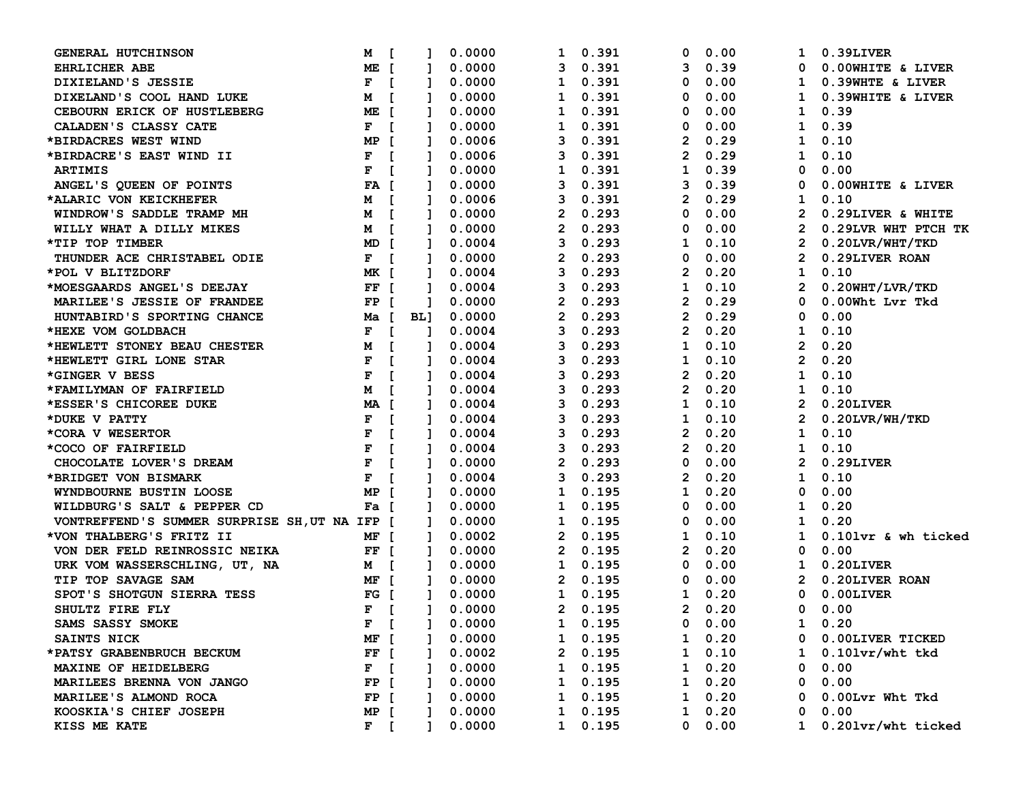| GENERAL HUTCHINSON                            | М<br>- L                      |                | 0.0000 | 1              | 0.391           | 0              | 0.00           | 1                     | 0.39LIVER            |
|-----------------------------------------------|-------------------------------|----------------|--------|----------------|-----------------|----------------|----------------|-----------------------|----------------------|
| <b>EHRLICHER ABE</b>                          | ME [                          |                | 0.0000 | 3              | 0.391           | 3              | 0.39           | 0                     | 0.00WHITE & LIVER    |
| DIXIELAND'S JESSIE                            | F<br>$\blacksquare$           | 1              | 0.0000 | 1              | 0.391           | 0              | 0.00           | $\mathbf{1}$          | 0.39WHTE & LIVER     |
| DIXELAND'S COOL HAND LUKE                     | $\blacksquare$<br>М           | L              | 0.0000 | 1              | 0.391           | 0              | 0.00           | 1                     | 0.39WHITE & LIVER    |
| CEBOURN ERICK OF HUSTLEBERG                   | ME [                          |                | 0.0000 | 1              | 0.391           | 0              | 0.00           | 1                     | 0.39                 |
| CALADEN'S CLASSY CATE                         | F<br>$\blacksquare$           |                | 0.0000 | 1              | 0.391           | 0              | 0.00           | 1                     | 0.39                 |
| *BIRDACRES WEST WIND                          | MP [                          |                | 0.0006 | 3              | 0.391           | 2              | 0.29           | 1                     | 0.10                 |
| *BIRDACRE'S EAST WIND II                      | F<br>$\sqrt{ }$               |                | 0.0006 | 3              | 0.391           | 2              | 0.29           | 1                     | 0.10                 |
| <b>ARTIMIS</b>                                | F<br>$\blacksquare$           |                | 0.0000 | 1              | 0.391           | 1              | 0.39           | 0                     | 0.00                 |
| ANGEL'S QUEEN OF POINTS                       | FA [                          |                | 0.0000 | 3              | 0.391           | 3              | 0.39           | 0                     | 0.00WHITE & LIVER    |
| *ALARIC VON KEICKHEFER                        | <b>M</b> [                    |                | 0.0006 | 3              | 0.391           | $\mathbf{2}$   | 0.29           | 1                     | 0.10                 |
| WINDROW'S SADDLE TRAMP MH                     | M [                           | $\mathbf{1}$   | 0.0000 | $\overline{2}$ | 0.293           | 0              | 0.00           | $\mathbf{2}$          | 0.29LIVER & WHITE    |
| WILLY WHAT A DILLY MIKES                      | M [                           | Т.             | 0.0000 | 2              | 0.293           | 0              | 0.00           | $\mathbf{2}$          | 0.29LVR WHT PTCH TK  |
| *TIP TOP TIMBER                               | MD [                          |                | 0.0004 | 3              | 0.293           | 1              | 0.10           | 2                     | $0.20$ LVR/WHT/TKD   |
| THUNDER ACE CHRISTABEL ODIE                   | $F$ [                         |                | 0.0000 | 2              | 0.293           | 0              | 0.00           | 2                     | 0.29LIVER ROAN       |
| *POL V BLITZDORF                              | MK [                          |                | 0.0004 | 3              | 0.293           | 2              | 0.20           | $\mathbf 1$           | 0.10                 |
| *MOESGAARDS ANGEL'S DEEJAY                    | FF [                          | Т.             | 0.0004 | 3              | 0.293           | 1              | 0.10           | 2                     | $0.20$ WHT/LVR/TKD   |
| MARILEE'S JESSIE OF FRANDEE                   | FP [                          |                | 0.0000 | 2              | 0.293           | 2              | 0.29           | 0                     | 0.00Wht Lvr Tkd      |
| HUNTABIRD'S SPORTING CHANCE                   | Ma [ BL]                      |                | 0.0000 | $\mathbf{2}$   | 0.293           | 2              | 0.29           | 0                     | 0.00                 |
| *HEXE VOM GOLDBACH                            | $\blacksquare$<br>F           | $\mathbf{1}$   | 0.0004 | 3              | 0.293           | $\mathbf{2}$   | 0.20           | $\mathbf 1$           | 0.10                 |
| *HEWLETT STONEY BEAU CHESTER                  | M<br>$\blacksquare$           | $\mathbf{1}$   | 0.0004 | 3              | 0.293           | 1              | 0.10           | $\mathbf{2}^{\prime}$ | 0.20                 |
| *HEWLETT GIRL LONE STAR                       | F<br>$\blacksquare$           | Т.             | 0.0004 | 3              | 0.293           | 1              | 0.10           | $\mathbf{2}$          | 0.20                 |
| *GINGER V BESS                                | F<br>$\mathbf{I}$             |                | 0.0004 | 3              | 0.293           | 2              | 0.20           | 1                     | 0.10                 |
| *FAMILYMAN OF FAIRFIELD                       | M<br>$\blacksquare$           |                | 0.0004 | 3              | 0.293           | 2              | 0.20           | $\mathbf{1}$          | 0.10                 |
| *ESSER'S CHICOREE DUKE                        | MA [                          |                | 0.0004 | 3              | 0.293           | 1              | 0.10           | 2                     | 0.20LIVER            |
| *DUKE V PATTY                                 | F<br>$\mathbf{r}$             |                | 0.0004 | 3              | 0.293           | 1              | 0.10           | 2                     | $0.20$ LVR/WH/TKD    |
| *CORA V WESERTOR                              | F<br>$\mathbf{I}$             |                | 0.0004 | 3              | 0.293           | 2              | 0.20           | 1                     | 0.10                 |
| *COCO OF FAIRFIELD                            | $\mathbf F$<br>$\overline{1}$ |                | 0.0004 | 3              | 0.293           | 2              | 0.20           | 1                     | 0.10                 |
| CHOCOLATE LOVER'S DREAM                       | F<br>$\blacksquare$           |                | 0.0000 | 2              | 0.293           | 0              | 0.00           | $\mathbf{2}$          | 0.29LIVER            |
| *BRIDGET VON BISMARK                          | F<br>$\blacksquare$           | $\mathbf{1}$   | 0.0004 | 3              | 0.293           | 2              | 0.20           | $\mathbf{1}$          | 0.10                 |
| WYNDBOURNE BUSTIN LOOSE                       | MP [                          | $\mathbf{1}$   | 0.0000 | 1              | 0.195           | 1              | 0.20           | 0                     | 0.00                 |
| WILDBURG'S SALT & PEPPER CD                   | Fa [                          |                | 0.0000 | 1              | 0.195           | 0              | 0.00           | $\mathbf 1$           | 0.20                 |
| VONTREFFEND'S SUMMER SURPRISE SH, UT NA IFP [ |                               | Ι.             | 0.0000 | 1              | 0.195           | 0              | 0.00           | 1                     | 0.20                 |
| *VON THALBERG'S FRITZ II                      | MF [                          |                | 0.0002 | 2              | 0.195           | 1              | 0.10           | 1                     | 0.101vr & wh ticked  |
| VON DER FELD REINROSSIC NEIKA                 | $FF$ [                        | Т.             | 0.0000 | 2              | 0.195           | 2              | 0.20           | 0                     | 0.00                 |
| URK VOM WASSERSCHLING, UT, NA                 | M [                           |                | 0.0000 | 1              | 0.195           | 0              | 0.00           | 1                     | 0.20LIVER            |
| TIP TOP SAVAGE SAM                            | MF [                          |                | 0.0000 | 2              | 0.195           | 0              | 0.00           | $\mathbf{2}$          | 0.20LIVER ROAN       |
| SPOT'S SHOTGUN SIERRA TESS                    | $FG$ [                        |                | 0.0000 | $\mathbf{1}$   | 0.195           | 1              | 0.20           | $\mathbf{0}$          | $0.00$ LIVER         |
| SHULTZ FIRE FLY                               | $F$ [                         | 1.             | 0.0000 | $\mathbf{2}$   | 0.195           | $\overline{2}$ | 0.20           | $\mathbf{0}$          | 0.00                 |
| SAMS SASSY SMOKE                              | $F$ [                         | $\overline{1}$ | 0.0000 |                | 1 0.195         |                | $0 \quad 0.00$ | $\mathbf{1}$          | 0.20                 |
| SAINTS NICK                                   | MF [                          |                | 0.0000 |                | 1 0.195         |                | $1 \t 0.20$    |                       | 0 0.00LIVER TICKED   |
| *PATSY GRABENBRUCH BECKUM                     | $FF$ [                        |                | 0.0002 |                | 20.195          |                | $1 \t 0.10$    |                       | 1 $0.101vr/wht$ tkd  |
| MAXINE OF HEIDELBERG                          | $F$ [                         |                | 0.0000 | $\mathbf{1}$   | 0.195           | 1              | 0.20           | 0                     | 0.00                 |
| MARILEES BRENNA VON JANGO                     | $FP$ [                        |                | 0.0000 |                | 1 0.195         | $\mathbf{1}$   | 0.20           | $\mathbf 0$           | 0.00                 |
| MARILEE'S ALMOND ROCA                         | $FP$ [                        |                | 0.0000 |                | 1 0.195         |                | $1 \t 0.20$    | 0                     | 0.00Lvr Wht Tkd      |
| KOOSKIA'S CHIEF JOSEPH                        | MP [                          |                | 0.0000 |                | $1 \quad 0.195$ |                | $1 \t 0.20$    | 0                     | 0.00                 |
| KISS ME KATE                                  | $F$ [                         | $\mathbf{1}$   | 0.0000 |                | 1 0.195         |                | $0\quad 0.00$  |                       | 1 0.201vr/wht ticked |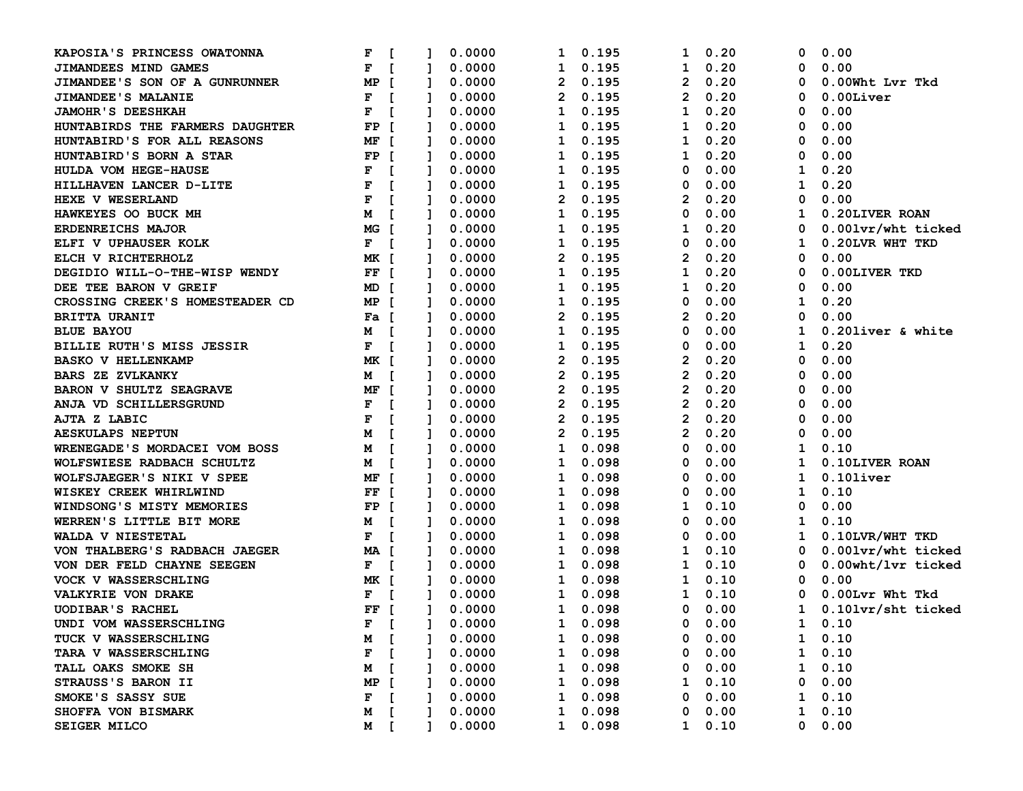| KAPOSIA'S PRINCESS OWATONNA     | F                   | $\mathbf{r}$   |              | 0.0000 | 1            |              | 0.195 | 1              | 0.20          | 0            | 0.00               |
|---------------------------------|---------------------|----------------|--------------|--------|--------------|--------------|-------|----------------|---------------|--------------|--------------------|
| JIMANDEES MIND GAMES            | F                   | $\blacksquare$ |              | 0.0000 | 1            |              | 0.195 | 1              | 0.20          | 0            | 0.00               |
| JIMANDEE'S SON OF A GUNRUNNER   | MP [                |                | Ι.           | 0.0000 | $\mathbf{2}$ |              | 0.195 | $\overline{2}$ | 0.20          | 0            | 0.00Wht Lvr Tkd    |
| <b>JIMANDEE'S MALANIE</b>       | $F$ [               |                | л.           | 0.0000 | 2            |              | 0.195 | 2              | 0.20          | 0            | $0.00$ Liver       |
| <b>JAMOHR'S DEESHKAH</b>        | F<br>$\blacksquare$ |                |              | 0.0000 | 1            |              | 0.195 | 1              | 0.20          | 0            | 0.00               |
| HUNTABIRDS THE FARMERS DAUGHTER | FP [                |                |              | 0.0000 | 1            |              | 0.195 | 1              | 0.20          | 0            | 0.00               |
| HUNTABIRD'S FOR ALL REASONS     | MF [                |                |              | 0.0000 | 1            |              | 0.195 | 1              | 0.20          | 0            | 0.00               |
| HUNTABIRD'S BORN A STAR         | FP [                |                |              | 0.0000 | ı            |              | 0.195 | 1              | 0.20          | 0            | 0.00               |
| HULDA VOM HEGE-HAUSE            | F                   | $\overline{1}$ |              | 0.0000 | 1            |              | 0.195 | 0              | 0.00          | 1            | 0.20               |
| HILLHAVEN LANCER D-LITE         | $\mathbf{F}$        | $\blacksquare$ |              | 0.0000 | 1            |              | 0.195 | 0              | 0.00          | 1            | 0.20               |
| HEXE V WESERLAND                | F                   | $\blacksquare$ |              | 0.0000 | 2            |              | 0.195 | 2              | 0.20          | 0            | 0.00               |
| HAWKEYES OO BUCK MH             | М                   | $\blacksquare$ | $\mathbf{1}$ | 0.0000 | 1            |              | 0.195 | 0              | 0.00          | 1            | 0.20LIVER ROAN     |
| <b>ERDENREICHS MAJOR</b>        | MG [                |                | Т.           | 0.0000 | 1            |              | 0.195 | 1              | 0.20          | 0            | 0.001vr/wht ticked |
| ELFI V UPHAUSER KOLK            | $F$ [               |                |              | 0.0000 | 1            |              | 0.195 | 0              | 0.00          | 1            | 0.20LVR WHT TKD    |
| ELCH V RICHTERHOLZ              | MK [                |                |              | 0.0000 | 2            |              | 0.195 | 2              | 0.20          | 0            | 0.00               |
| DEGIDIO WILL-O-THE-WISP WENDY   | FF [                |                |              | 0.0000 | ı            |              | 0.195 | 1              | 0.20          | 0            | 0.00LIVER TKD      |
| DEE TEE BARON V GREIF           | MD [                |                | 1            | 0.0000 | ı            |              | 0.195 | 1              | 0.20          | 0            | 0.00               |
| CROSSING CREEK'S HOMESTEADER CD | MP [                |                |              | 0.0000 | 1            |              | 0.195 | 0              | 0.00          | 1            | 0.20               |
| <b>BRITTA URANIT</b>            | Fa [                |                |              | 0.0000 | 2            |              | 0.195 | 2              | 0.20          | 0            | 0.00               |
| <b>BLUE BAYOU</b>               | <b>M</b> [          |                |              | 0.0000 | $\mathbf{1}$ |              | 0.195 | 0              | 0.00          | 1            | 0.20liver & white  |
| BILLIE RUTH'S MISS JESSIR       | $F$ [               |                | $\mathbf{I}$ | 0.0000 | 1            |              | 0.195 | 0              | 0.00          | 1            | 0.20               |
| <b>BASKO V HELLENKAMP</b>       | MK [                |                | -1           | 0.0000 | 2            |              | 0.195 | 2              | 0.20          | 0            | 0.00               |
| <b>BARS ZE ZVLKANKY</b>         | M [                 |                |              | 0.0000 | 2            |              | 0.195 | $\overline{2}$ | 0.20          | 0            | 0.00               |
| <b>BARON V SHULTZ SEAGRAVE</b>  | MF [                |                |              | 0.0000 | 2            |              | 0.195 | 2              | 0.20          | 0            | 0.00               |
| ANJA VD SCHILLERSGRUND          | F                   | $\blacksquare$ |              | 0.0000 | 2            |              | 0.195 | 2              | 0.20          | 0            | 0.00               |
| AJTA Z LABIC                    | F                   | $\blacksquare$ |              | 0.0000 | 2            |              | 0.195 | 2              | 0.20          | 0            | 0.00               |
| <b>AESKULAPS NEPTUN</b>         | М                   | $\blacksquare$ |              | 0.0000 | 2            |              | 0.195 | 2              | 0.20          | 0            | 0.00               |
| WRENEGADE'S MORDACEI VOM BOSS   | <b>M</b> [          |                |              | 0.0000 | 1            |              | 0.098 | 0              | 0.00          | 1            | 0.10               |
| WOLFSWIESE RADBACH SCHULTZ      | <b>M</b> [          |                |              | 0.0000 | 1            |              | 0.098 | 0              | 0.00          | 1            | 0.10LIVER ROAN     |
| WOLFSJAEGER'S NIKI V SPEE       | MF [                |                | $\mathbf{I}$ | 0.0000 | 1            |              | 0.098 | 0              | 0.00          | 1            | $0.10$ liver       |
| WISKEY CREEK WHIRLWIND          | FF [                |                | $\mathbf{1}$ | 0.0000 | 1            |              | 0.098 | 0              | 0.00          | 1            | 0.10               |
| WINDSONG'S MISTY MEMORIES       | FP [                |                |              | 0.0000 | 1            |              | 0.098 | 1              | 0.10          | 0            | 0.00               |
| WERREN'S LITTLE BIT MORE        | <b>M</b> [          |                |              | 0.0000 | 1            |              | 0.098 | 0              | 0.00          | 1            | 0.10               |
| WALDA V NIESTETAL               | $F \quad [$         |                |              | 0.0000 | ı            |              | 0.098 | 0              | 0.00          | 1            | 0.10LVR/WHT TKD    |
| VON THALBERG'S RADBACH JAEGER   | MA [                |                | Т.           | 0.0000 | ı            |              | 0.098 | 1              | 0.10          | 0            | 0.001vr/wht ticked |
| VON DER FELD CHAYNE SEEGEN      | $F$ [               |                |              | 0.0000 | 1            |              | 0.098 | 1              | 0.10          | 0            | 0.00wht/lvr ticked |
| <b>VOCK V WASSERSCHLING</b>     | MK [                |                |              | 0.0000 | $\mathbf{1}$ |              | 0.098 | 1              | 0.10          | 0            | 0.00               |
| <b>VALKYRIE VON DRAKE</b>       | $F \quad [$         |                |              | 0.0000 | $\mathbf{1}$ |              | 0.098 | 1              | 0.10          | $\mathbf 0$  | 0.00Lvr Wht Tkd    |
| <b>UODIBAR'S RACHEL</b>         | FF [                |                | $\mathbf{1}$ | 0.0000 | $\mathbf{1}$ |              | 0.098 | 0              | 0.00          | $\mathbf{1}$ | 0.101vr/sht ticked |
| UNDI VOM WASSERSCHLING          |                     | $F$ [ ]        |              | 0.0000 | 1 0.098      |              |       |                | $0\quad 0.00$ |              | $1 \t 0.10$        |
| TUCK V WASSERSCHLING            | M                   | - E            |              | 0.0000 | ı            |              | 0.098 | 0              | 0.00          |              | $1 \t 0.10$        |
| TARA V WASSERSCHLING            | F                   |                |              | 0.0000 |              |              | 0.098 | 0              | 0.00          |              | $1 \quad 0.10$     |
| TALL OAKS SMOKE SH              | M                   |                |              | 0.0000 | ı            |              | 0.098 | 0              | 0.00          | $\mathbf{1}$ | 0.10               |
| STRAUSS'S BARON II              | MP                  |                |              | 0.0000 | ı            |              | 0.098 | ı              | 0.10          |              | 0 0.00             |
| SMOKE'S SASSY SUE               | F                   |                |              | 0.0000 | ı            |              | 0.098 | 0              | 0.00          |              | $1 \quad 0.10$     |
| SHOFFA VON BISMARK              | M                   | - 1            |              | 0.0000 | 1            |              | 0.098 | 0              | 0.00          |              | $1 \quad 0.10$     |
| <b>SEIGER MILCO</b>             | M [                 |                |              | 0.0000 |              | $\mathbf{1}$ | 0.098 |                | $1 \t 0.10$   |              | 0 0.00             |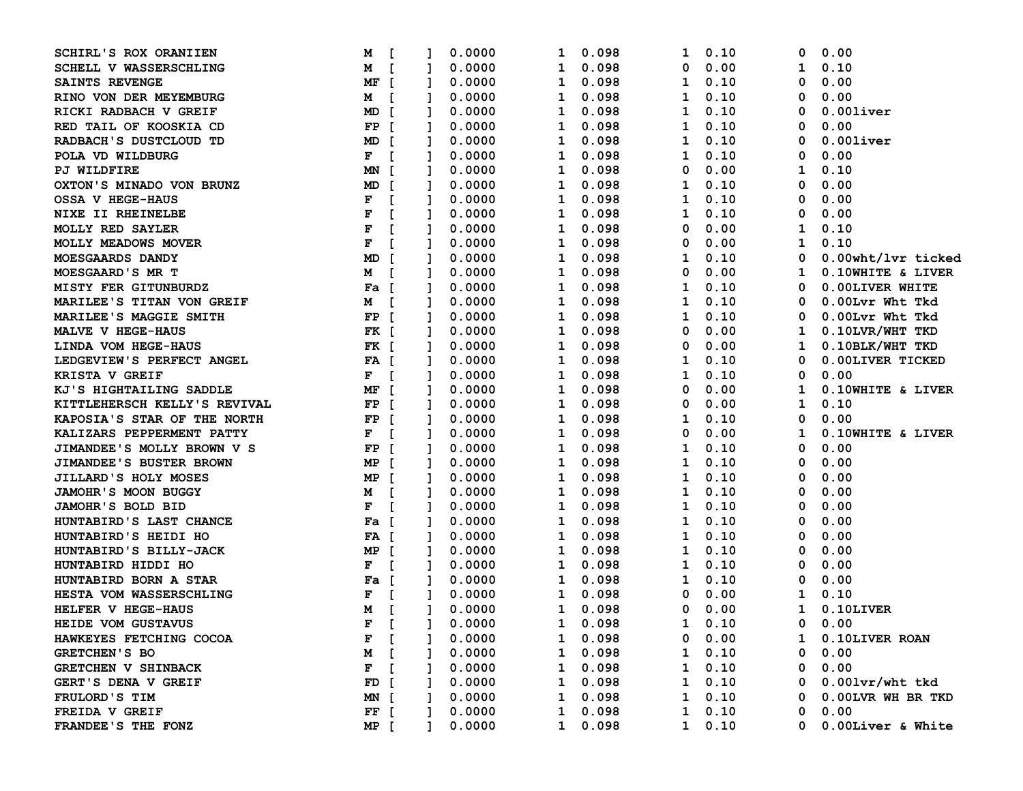| SCHIRL'S ROX ORANIIEN            | <b>M</b> [                     |              | 0.0000 | 1            |              | 0.098           | 1              | 0.10          | 0            | 0.00                    |
|----------------------------------|--------------------------------|--------------|--------|--------------|--------------|-----------------|----------------|---------------|--------------|-------------------------|
| SCHELL V WASSERSCHLING           | M [                            |              | 0.0000 | 1            |              | 0.098           | 0              | 0.00          | 1            | 0.10                    |
| SAINTS REVENGE                   | MF [                           | L            | 0.0000 | 1            |              | 0.098           | 1              | 0.10          | 0            | 0.00                    |
| RINO VON DER MEYEMBURG           | <b>M</b> [                     | Ι.           | 0.0000 | 1            |              | 0.098           | 1              | 0.10          | 0            | 0.00                    |
| RICKI RADBACH V GREIF            | MD [                           |              | 0.0000 | 1            |              | 0.098           | 1              | 0.10          | 0            | $0.00$ liver            |
| RED TAIL OF KOOSKIA CD           | $FP$ [                         |              | 0.0000 | 1            |              | 0.098           | 1              | 0.10          | 0            | 0.00                    |
| RADBACH'S DUSTCLOUD TD           | MD [                           |              | 0.0000 | 1            |              | 0.098           | 1              | 0.10          | 0            | $0.00$ liver            |
| POLA VD WILDBURG                 | $F \quad [$                    |              | 0.0000 | 1            |              | 0.098           | 1              | 0.10          | 0            | 0.00                    |
| <b>PJ WILDFIRE</b>               | MN [                           |              | 0.0000 | 1            |              | 0.098           | 0              | 0.00          | 1            | 0.10                    |
| OXTON'S MINADO VON BRUNZ         | MD [                           |              | 0.0000 | 1            |              | 0.098           | 1              | 0.10          | 0            | 0.00                    |
| <b>OSSA V HEGE-HAUS</b>          | F<br>$\blacksquare$            |              | 0.0000 | 1            |              | 0.098           | 1              | 0.10          | 0            | 0.00                    |
| NIXE II RHEINELBE                | $\mathbf{F}$<br>$\blacksquare$ | Ι.           | 0.0000 | 1            |              | 0.098           | 1              | 0.10          | 0            | 0.00                    |
| <b>MOLLY RED SAYLER</b>          | $\mathbf{F}$<br>$\blacksquare$ | L.           | 0.0000 | 1            |              | 0.098           | 0              | 0.00          | 1            | 0.10                    |
| <b>MOLLY MEADOWS MOVER</b>       | $\mathbf{F}$<br>$\blacksquare$ |              | 0.0000 | 1            |              | 0.098           | 0              | 0.00          | 1            | 0.10                    |
| MOESGAARDS DANDY                 | MD [                           |              | 0.0000 | 1            |              | 0.098           | 1              | 0.10          | 0            | 0.00wht/lvr ticked      |
| MOESGAARD'S MR T                 | M [                            |              | 0.0000 | 1            |              | 0.098           | 0              | 0.00          | ı            | 0.10WHITE & LIVER       |
| MISTY FER GITUNBURDZ             | Fa [                           |              | 0.0000 | 1            |              | 0.098           | 1              | 0.10          | 0            | 0.00LIVER WHITE         |
| <b>MARILEE'S TITAN VON GREIF</b> | M [                            |              | 0.0000 | 1            |              | 0.098           | 1              | 0.10          | 0            | 0.00Lvr Wht Tkd         |
| MARILEE'S MAGGIE SMITH           | $FP$ [                         |              | 0.0000 | 1            |              | 0.098           | 1              | 0.10          | 0            | 0.00Lvr Wht Tkd         |
| MALVE V HEGE-HAUS                | FK [                           | 1            | 0.0000 | 1            |              | 0.098           | 0              | 0.00          | 1            | 0.10LVR/WHT TKD         |
| LINDA VOM HEGE-HAUS              | FK [                           | $\mathbf{1}$ | 0.0000 | 1            |              | 0.098           | 0              | 0.00          | 1            | 0.10BLK/WHT TKD         |
| LEDGEVIEW'S PERFECT ANGEL        | FA [                           | Т.           | 0.0000 | 1            |              | 0.098           | 1              | 0.10          | 0            | 0.00LIVER TICKED        |
| KRISTA V GREIF                   | $F$ [                          |              | 0.0000 | 1            |              | 0.098           | 1              | 0.10          | 0            | 0.00                    |
| KJ'S HIGHTAILING SADDLE          | MF [                           |              | 0.0000 | 1            |              | 0.098           | 0              | 0.00          | 1            | 0.10WHITE & LIVER       |
| KITTLEHERSCH KELLY'S REVIVAL     | $FP$ [                         |              | 0.0000 | 1            |              | 0.098           | 0              | 0.00          | 1            | 0.10                    |
| KAPOSIA'S STAR OF THE NORTH      | $FP$ [                         |              | 0.0000 | 1            |              | 0.098           | 1              | 0.10          | 0            | 0.00                    |
| KALIZARS PEPPERMENT PATTY        | $F$ [                          |              | 0.0000 | 1            |              | 0.098           | 0              | 0.00          | 1            | 0.10WHITE & LIVER       |
| JIMANDEE'S MOLLY BROWN V S       | $FP$ [                         |              | 0.0000 | 1            |              | 0.098           | 1              | 0.10          | 0            | 0.00                    |
| <b>JIMANDEE'S BUSTER BROWN</b>   | MP [                           | <b>I</b>     | 0.0000 | 1            |              | 0.098           | 1              | 0.10          | 0            | 0.00                    |
| JILLARD'S HOLY MOSES             | MP [                           | $\mathbf{1}$ | 0.0000 | 1            |              | 0.098           | 1              | 0.10          | 0            | 0.00                    |
| JAMOHR'S MOON BUGGY              | <b>M</b> [                     | I.           | 0.0000 | 1            |              | 0.098           | 1              | 0.10          | 0            | 0.00                    |
| <b>JAMOHR'S BOLD BID</b>         | $F$ [                          |              | 0.0000 | 1            |              | 0.098           | 1              | 0.10          | 0            | 0.00                    |
| HUNTABIRD'S LAST CHANCE          | Fa [                           |              | 0.0000 | 1            |              | 0.098           | 1              | 0.10          | 0            | 0.00                    |
| HUNTABIRD'S HEIDI HO             | FA [                           |              | 0.0000 | 1            |              | 0.098           | 1              | 0.10          | 0            | 0.00                    |
| HUNTABIRD'S BILLY-JACK           | MP [                           |              | 0.0000 | 1            |              | 0.098           | 1              | 0.10          | 0            | 0.00                    |
| HUNTABIRD HIDDI HO               | $F \quad [$                    |              | 0.0000 | 1            |              | 0.098           | 1              | 0.10          | 0            | 0.00                    |
| HUNTABIRD BORN A STAR            | Fa [                           |              | 0.0000 | 1            |              | 0.098           | 1              | 0.10          | 0            | 0.00                    |
| HESTA VOM WASSERSCHLING          | $\blacksquare$<br>F            |              | 0.0000 | 1            |              | 0.098           | 0              | 0.00          | 1            | 0.10                    |
| HELFER V HEGE-HAUS               | <b>M</b> [                     | $\mathbf{1}$ | 0.0000 | $\mathbf{1}$ |              | 0.098           | 0              | 0.00          | $\mathbf{1}$ | $0.10$ LIVER            |
| HEIDE VOM GUSTAVUS               | $F$ [                          | $\mathbf{1}$ | 0.0000 | $\mathbf{1}$ |              | 0.098           | $1 \quad 0.10$ |               |              | $0\quad 0.00$           |
| HAWKEYES FETCHING COCOA          | $F$ [                          |              | 0.0000 | ı            |              | 0.098           |                | $0\quad 0.00$ |              | 1 0.10LIVER ROAN        |
| <b>GRETCHEN'S BO</b>             | M [                            |              | 0.0000 |              | $\mathbf{1}$ | 0.098           |                | $1 \t 0.10$   | 0            | 0.00                    |
| <b>GRETCHEN V SHINBACK</b>       | $F$ [                          |              | 0.0000 | 1            |              | 0.098           |                | $1 \t 0.10$   | 0            | 0.00                    |
| GERT'S DENA V GREIF              | $FD$ [                         |              | 0.0000 |              |              | 1 0.098         |                | $1 \t 0.10$   |              | $0$ 0.001 $vr$ /wht tkd |
| FRULORD'S TIM                    | MN [                           |              | 0.0000 |              |              | 1 0.098         |                | $1 \t 0.10$   |              | 0 0.00LVR WH BR TKD     |
| FREIDA V GREIF                   | $FF$ [                         |              | 0.0000 |              |              | $1 \quad 0.098$ |                | $1 \t 0.10$   |              | $0\quad 0.00$           |
| FRANDEE'S THE FONZ               | MP [                           | $\mathbf{1}$ | 0.0000 |              |              | 1 0.098         |                | $1 \t 0.10$   |              | 0 0.00Liver & White     |